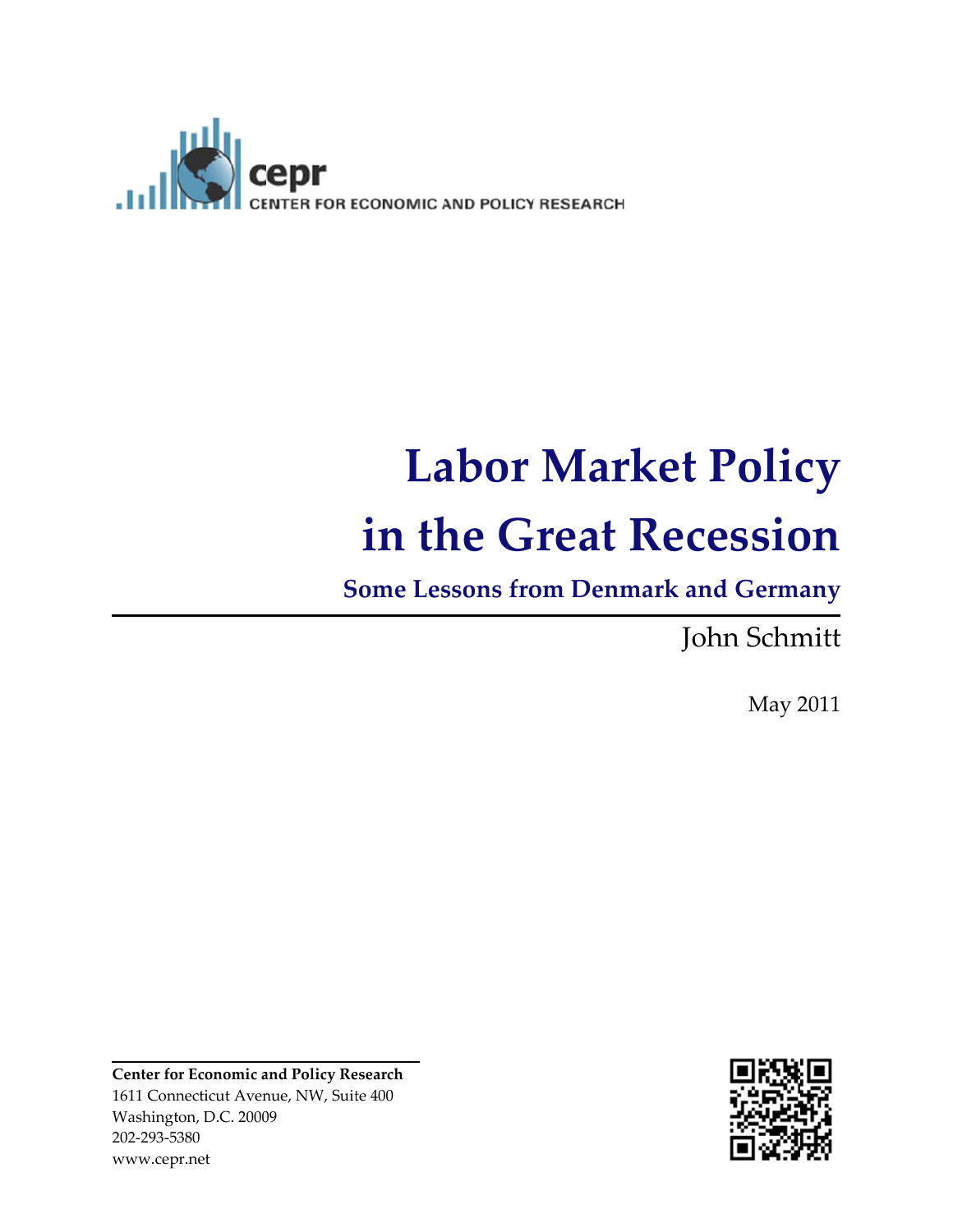

# Labor Market Policy **in th he G Great Rece essio on**

**Some** Lessons from Denmark and Germany

Joh hn Schm mitt

May 2 2011

**Center fo r Economic a and Policy Re esearch** 1611 Connecticut Avenue, NW, Suite 400 Washington, D.C. 20009 202‐293‐53 380 www.cep pr.net

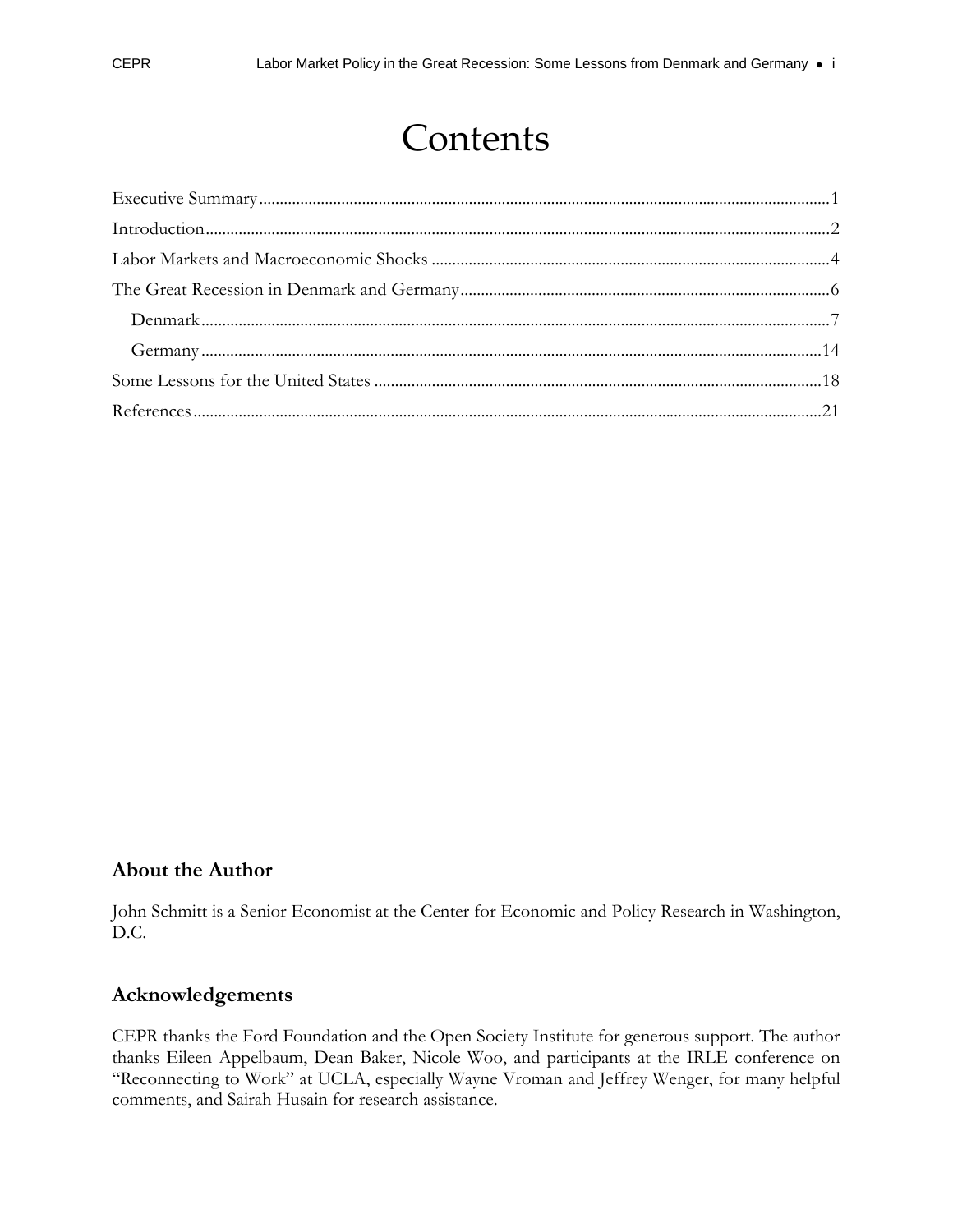## Contents

### **About the Author**

John Schmitt is a Senior Economist at the Center for Economic and Policy Research in Washington, D.C.

#### **Acknowledgements**

CEPR thanks the Ford Foundation and the Open Society Institute for generous support. The author thanks Eileen Appelbaum, Dean Baker, Nicole Woo, and participants at the IRLE conference on "Reconnecting to Work" at UCLA, especially Wayne Vroman and Jeffrey Wenger, for many helpful comments, and Sairah Husain for research assistance.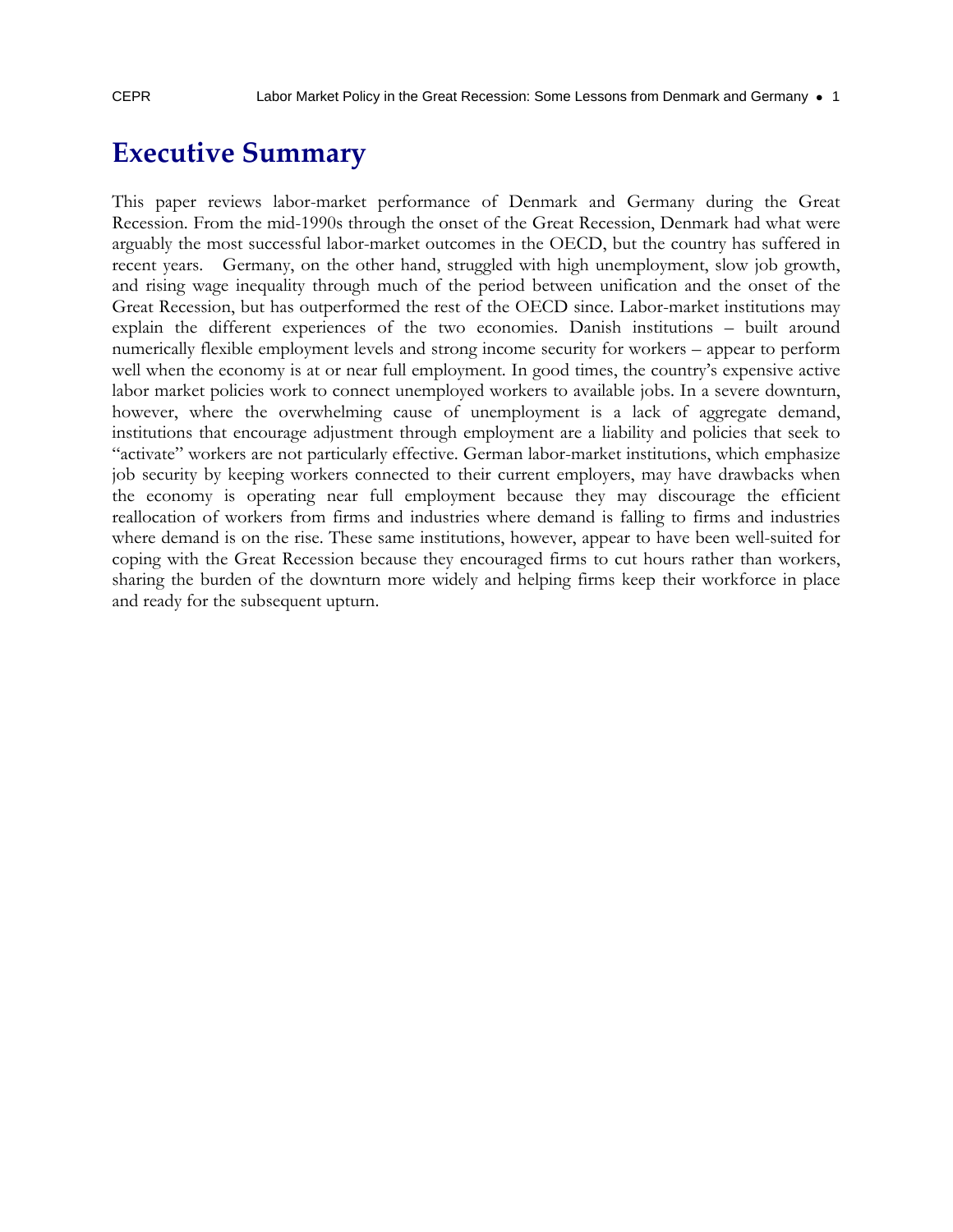### **Executive Summary**

This paper reviews labor-market performance of Denmark and Germany during the Great Recession. From the mid-1990s through the onset of the Great Recession, Denmark had what were arguably the most successful labor-market outcomes in the OECD, but the country has suffered in recent years. Germany, on the other hand, struggled with high unemployment, slow job growth, and rising wage inequality through much of the period between unification and the onset of the Great Recession, but has outperformed the rest of the OECD since. Labor-market institutions may explain the different experiences of the two economies. Danish institutions – built around numerically flexible employment levels and strong income security for workers – appear to perform well when the economy is at or near full employment. In good times, the country's expensive active labor market policies work to connect unemployed workers to available jobs. In a severe downturn, however, where the overwhelming cause of unemployment is a lack of aggregate demand, institutions that encourage adjustment through employment are a liability and policies that seek to "activate" workers are not particularly effective. German labor-market institutions, which emphasize job security by keeping workers connected to their current employers, may have drawbacks when the economy is operating near full employment because they may discourage the efficient reallocation of workers from firms and industries where demand is falling to firms and industries where demand is on the rise. These same institutions, however, appear to have been well-suited for coping with the Great Recession because they encouraged firms to cut hours rather than workers, sharing the burden of the downturn more widely and helping firms keep their workforce in place and ready for the subsequent upturn.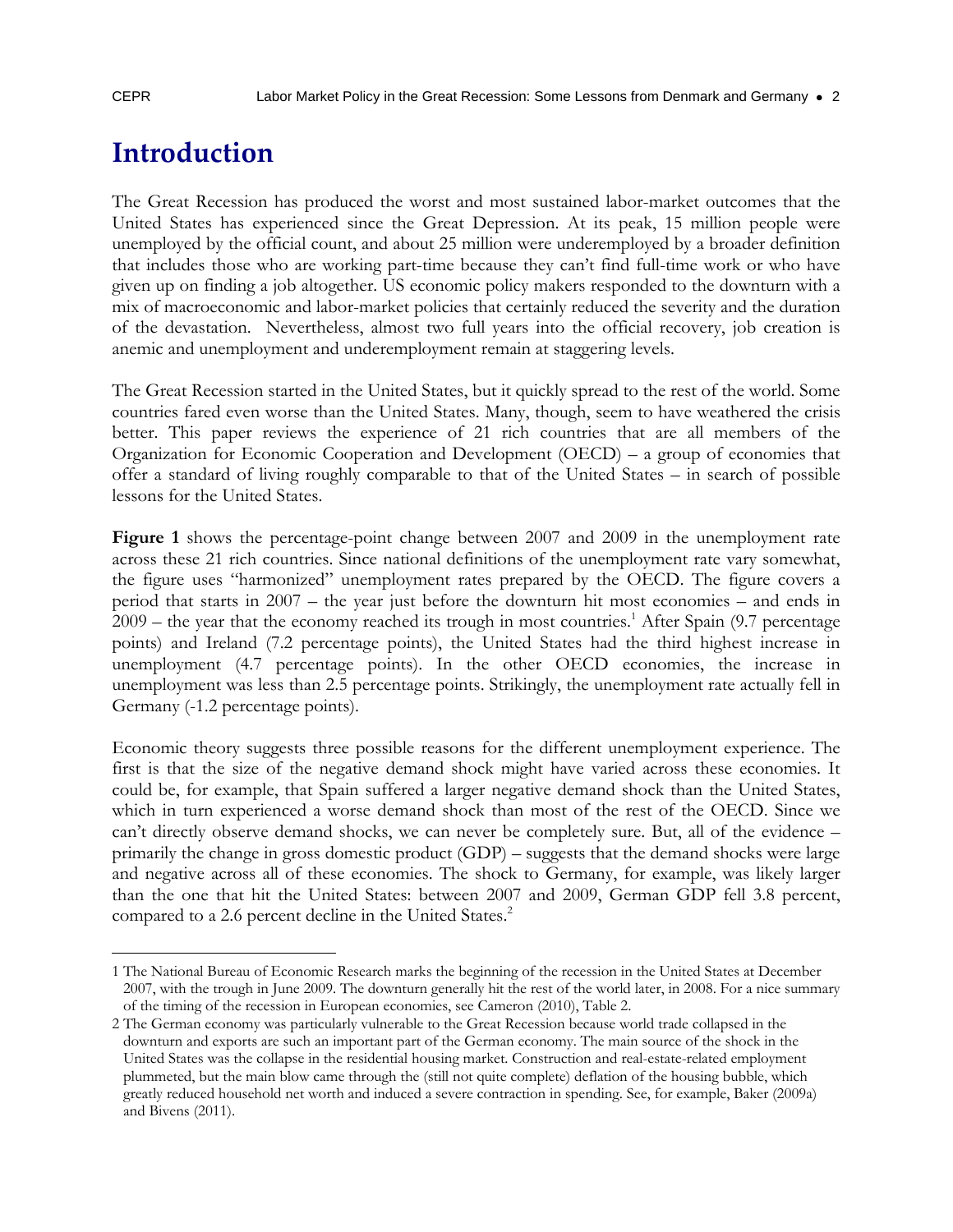### **Introduction**

The Great Recession has produced the worst and most sustained labor-market outcomes that the United States has experienced since the Great Depression. At its peak, 15 million people were unemployed by the official count, and about 25 million were underemployed by a broader definition that includes those who are working part-time because they can't find full-time work or who have given up on finding a job altogether. US economic policy makers responded to the downturn with a mix of macroeconomic and labor-market policies that certainly reduced the severity and the duration of the devastation. Nevertheless, almost two full years into the official recovery, job creation is anemic and unemployment and underemployment remain at staggering levels.

The Great Recession started in the United States, but it quickly spread to the rest of the world. Some countries fared even worse than the United States. Many, though, seem to have weathered the crisis better. This paper reviews the experience of 21 rich countries that are all members of the Organization for Economic Cooperation and Development (OECD) – a group of economies that offer a standard of living roughly comparable to that of the United States – in search of possible lessons for the United States.

**Figure 1** shows the percentage-point change between 2007 and 2009 in the unemployment rate across these 21 rich countries. Since national definitions of the unemployment rate vary somewhat, the figure uses "harmonized" unemployment rates prepared by the OECD. The figure covers a period that starts in 2007 – the year just before the downturn hit most economies – and ends in  $2009$  – the year that the economy reached its trough in most countries.<sup>1</sup> After Spain (9.7 percentage points) and Ireland (7.2 percentage points), the United States had the third highest increase in unemployment (4.7 percentage points). In the other OECD economies, the increase in unemployment was less than 2.5 percentage points. Strikingly, the unemployment rate actually fell in Germany (-1.2 percentage points).

Economic theory suggests three possible reasons for the different unemployment experience. The first is that the size of the negative demand shock might have varied across these economies. It could be, for example, that Spain suffered a larger negative demand shock than the United States, which in turn experienced a worse demand shock than most of the rest of the OECD. Since we can't directly observe demand shocks, we can never be completely sure. But, all of the evidence – primarily the change in gross domestic product (GDP) – suggests that the demand shocks were large and negative across all of these economies. The shock to Germany, for example, was likely larger than the one that hit the United States: between 2007 and 2009, German GDP fell 3.8 percent, compared to a 2.6 percent decline in the United States.<sup>2</sup>

 $\overline{a}$ 1 The National Bureau of Economic Research marks the beginning of the recession in the United States at December 2007, with the trough in June 2009. The downturn generally hit the rest of the world later, in 2008. For a nice summary of the timing of the recession in European economies, see Cameron (2010), Table 2.

<sup>2</sup> The German economy was particularly vulnerable to the Great Recession because world trade collapsed in the downturn and exports are such an important part of the German economy. The main source of the shock in the United States was the collapse in the residential housing market. Construction and real-estate-related employment plummeted, but the main blow came through the (still not quite complete) deflation of the housing bubble, which greatly reduced household net worth and induced a severe contraction in spending. See, for example, Baker (2009a) and Bivens (2011).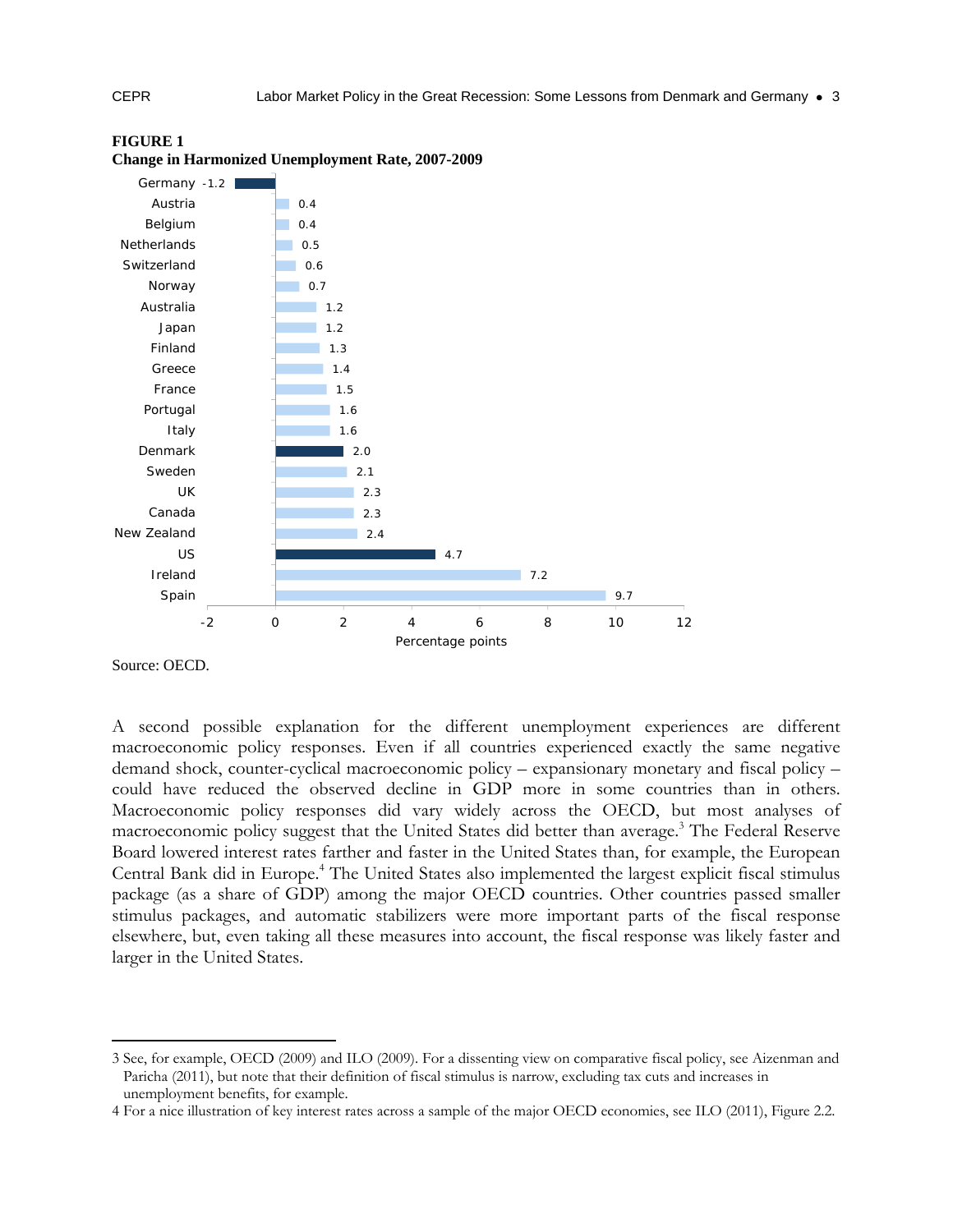

#### **FIGURE 1 Change in Harmonized Unemployment Rate, 2007-2009**

Source: OECD.

-

A second possible explanation for the different unemployment experiences are different macroeconomic policy responses. Even if all countries experienced exactly the same negative demand shock, counter-cyclical macroeconomic policy – expansionary monetary and fiscal policy – could have reduced the observed decline in GDP more in some countries than in others. Macroeconomic policy responses did vary widely across the OECD, but most analyses of macroeconomic policy suggest that the United States did better than average.<sup>3</sup> The Federal Reserve Board lowered interest rates farther and faster in the United States than, for example, the European Central Bank did in Europe.<sup>4</sup> The United States also implemented the largest explicit fiscal stimulus package (as a share of GDP) among the major OECD countries. Other countries passed smaller stimulus packages, and automatic stabilizers were more important parts of the fiscal response elsewhere, but, even taking all these measures into account, the fiscal response was likely faster and larger in the United States.

<sup>3</sup> See, for example, OECD (2009) and ILO (2009). For a dissenting view on comparative fiscal policy, see Aizenman and Paricha (2011), but note that their definition of fiscal stimulus is narrow, excluding tax cuts and increases in unemployment benefits, for example.

<sup>4</sup> For a nice illustration of key interest rates across a sample of the major OECD economies, see ILO (2011), Figure 2.2.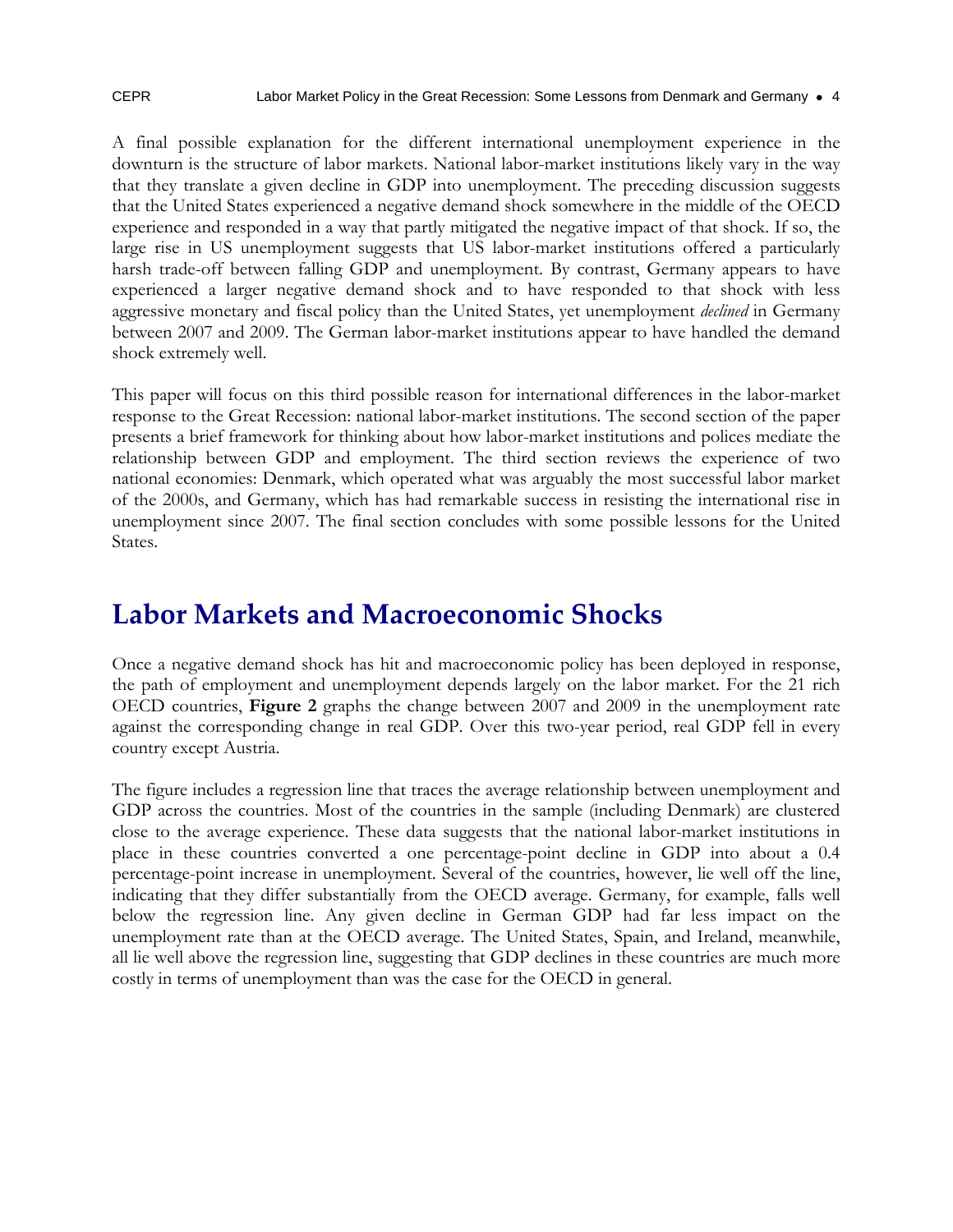A final possible explanation for the different international unemployment experience in the downturn is the structure of labor markets. National labor-market institutions likely vary in the way that they translate a given decline in GDP into unemployment. The preceding discussion suggests that the United States experienced a negative demand shock somewhere in the middle of the OECD experience and responded in a way that partly mitigated the negative impact of that shock. If so, the large rise in US unemployment suggests that US labor-market institutions offered a particularly harsh trade-off between falling GDP and unemployment. By contrast, Germany appears to have experienced a larger negative demand shock and to have responded to that shock with less aggressive monetary and fiscal policy than the United States, yet unemployment *declined* in Germany between 2007 and 2009. The German labor-market institutions appear to have handled the demand shock extremely well.

This paper will focus on this third possible reason for international differences in the labor-market response to the Great Recession: national labor-market institutions. The second section of the paper presents a brief framework for thinking about how labor-market institutions and polices mediate the relationship between GDP and employment. The third section reviews the experience of two national economies: Denmark, which operated what was arguably the most successful labor market of the 2000s, and Germany, which has had remarkable success in resisting the international rise in unemployment since 2007. The final section concludes with some possible lessons for the United States.

### **Labor Markets and Macroeconomic Shocks**

Once a negative demand shock has hit and macroeconomic policy has been deployed in response, the path of employment and unemployment depends largely on the labor market. For the 21 rich OECD countries, **Figure 2** graphs the change between 2007 and 2009 in the unemployment rate against the corresponding change in real GDP. Over this two-year period, real GDP fell in every country except Austria.

The figure includes a regression line that traces the average relationship between unemployment and GDP across the countries. Most of the countries in the sample (including Denmark) are clustered close to the average experience. These data suggests that the national labor-market institutions in place in these countries converted a one percentage-point decline in GDP into about a 0.4 percentage-point increase in unemployment. Several of the countries, however, lie well off the line, indicating that they differ substantially from the OECD average. Germany, for example, falls well below the regression line. Any given decline in German GDP had far less impact on the unemployment rate than at the OECD average. The United States, Spain, and Ireland, meanwhile, all lie well above the regression line, suggesting that GDP declines in these countries are much more costly in terms of unemployment than was the case for the OECD in general.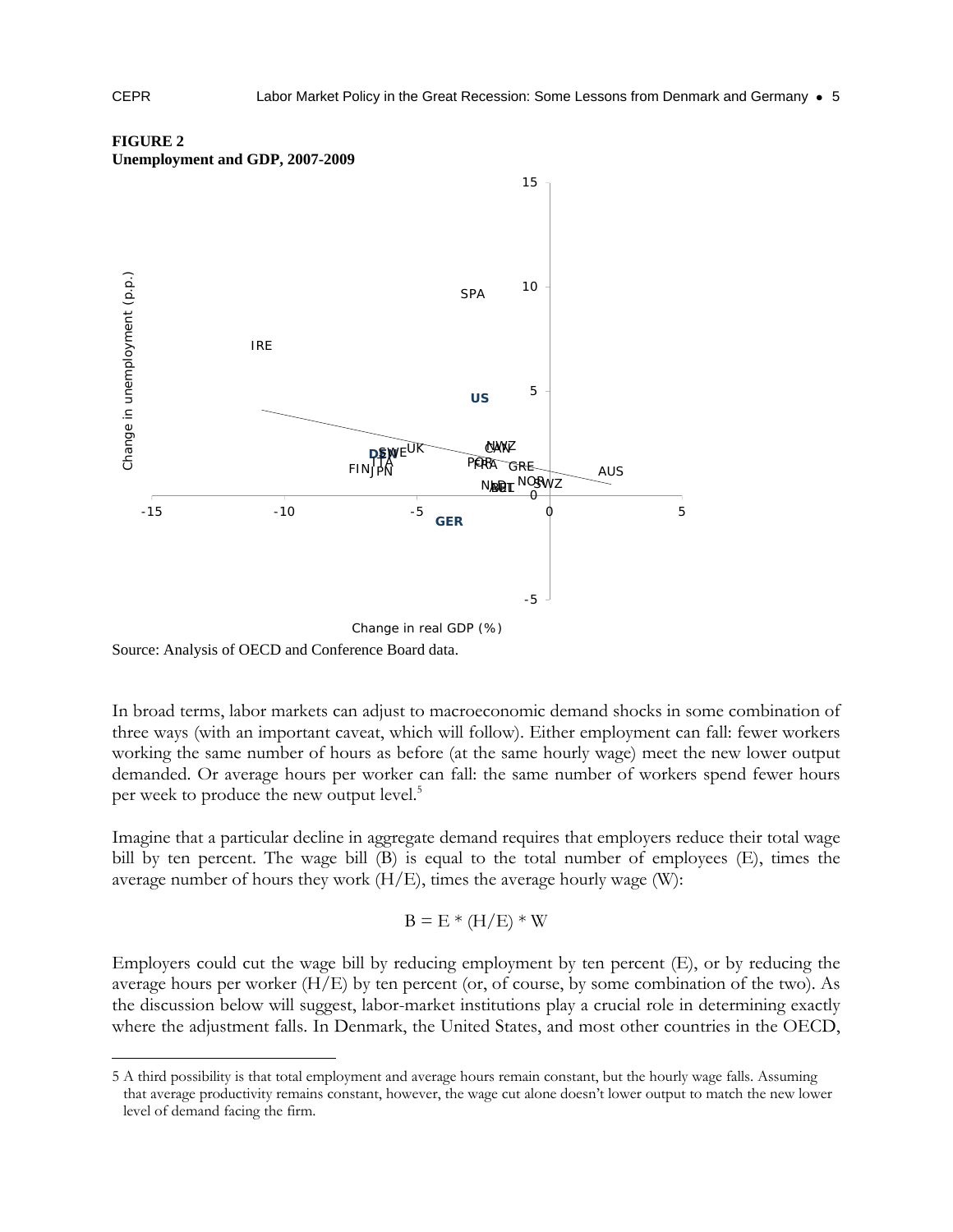

#### **FIGURE 2 Unemployment and GDP, 2007-2009**

Source: Analysis of OECD and Conference Board data.

In broad terms, labor markets can adjust to macroeconomic demand shocks in some combination of three ways (with an important caveat, which will follow). Either employment can fall: fewer workers working the same number of hours as before (at the same hourly wage) meet the new lower output demanded. Or average hours per worker can fall: the same number of workers spend fewer hours per week to produce the new output level.<sup>5</sup>

Imagine that a particular decline in aggregate demand requires that employers reduce their total wage bill by ten percent. The wage bill (B) is equal to the total number of employees (E), times the average number of hours they work  $(H/E)$ , times the average hourly wage (W):

$$
B = E * (H/E) * W
$$

Employers could cut the wage bill by reducing employment by ten percent (E), or by reducing the average hours per worker (H/E) by ten percent (or, of course, by some combination of the two). As the discussion below will suggest, labor-market institutions play a crucial role in determining exactly where the adjustment falls. In Denmark, the United States, and most other countries in the OECD,

<sup>5</sup> A third possibility is that total employment and average hours remain constant, but the hourly wage falls. Assuming that average productivity remains constant, however, the wage cut alone doesn't lower output to match the new lower level of demand facing the firm.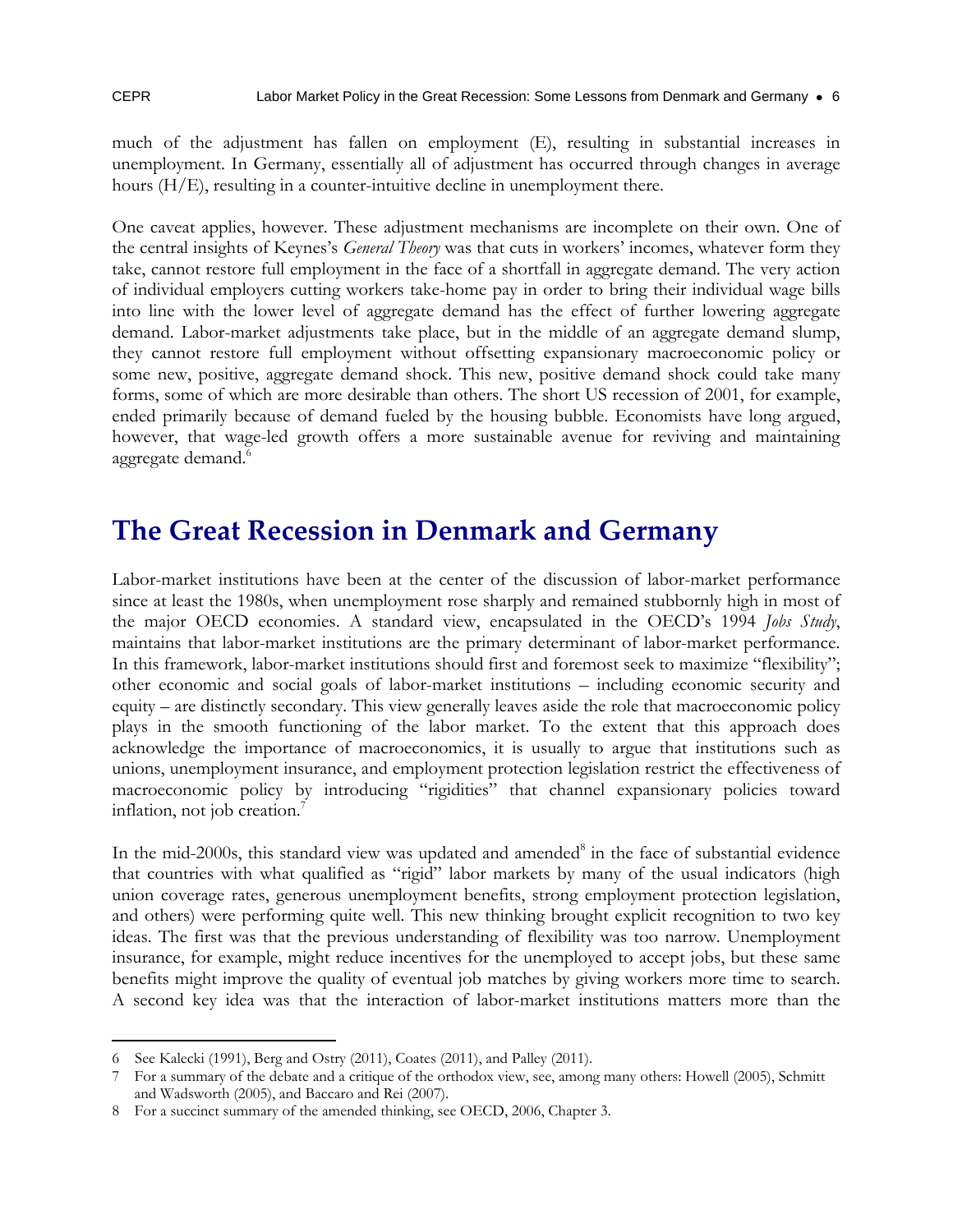$\overline{a}$ 

much of the adjustment has fallen on employment (E), resulting in substantial increases in unemployment. In Germany, essentially all of adjustment has occurred through changes in average hours (H/E), resulting in a counter-intuitive decline in unemployment there.

One caveat applies, however. These adjustment mechanisms are incomplete on their own. One of the central insights of Keynes's *General Theory* was that cuts in workers' incomes, whatever form they take, cannot restore full employment in the face of a shortfall in aggregate demand. The very action of individual employers cutting workers take-home pay in order to bring their individual wage bills into line with the lower level of aggregate demand has the effect of further lowering aggregate demand. Labor-market adjustments take place, but in the middle of an aggregate demand slump, they cannot restore full employment without offsetting expansionary macroeconomic policy or some new, positive, aggregate demand shock. This new, positive demand shock could take many forms, some of which are more desirable than others. The short US recession of 2001, for example, ended primarily because of demand fueled by the housing bubble. Economists have long argued, however, that wage-led growth offers a more sustainable avenue for reviving and maintaining aggregate demand.<sup>6</sup>

### **The Great Recession in Denmark and Germany**

Labor-market institutions have been at the center of the discussion of labor-market performance since at least the 1980s, when unemployment rose sharply and remained stubbornly high in most of the major OECD economies. A standard view, encapsulated in the OECD's 1994 *Jobs Study*, maintains that labor-market institutions are the primary determinant of labor-market performance. In this framework, labor-market institutions should first and foremost seek to maximize "flexibility"; other economic and social goals of labor-market institutions – including economic security and equity – are distinctly secondary. This view generally leaves aside the role that macroeconomic policy plays in the smooth functioning of the labor market. To the extent that this approach does acknowledge the importance of macroeconomics, it is usually to argue that institutions such as unions, unemployment insurance, and employment protection legislation restrict the effectiveness of macroeconomic policy by introducing "rigidities" that channel expansionary policies toward inflation, not job creation.<sup>7</sup>

In the mid-2000s, this standard view was updated and amended<sup>8</sup> in the face of substantial evidence that countries with what qualified as "rigid" labor markets by many of the usual indicators (high union coverage rates, generous unemployment benefits, strong employment protection legislation, and others) were performing quite well. This new thinking brought explicit recognition to two key ideas. The first was that the previous understanding of flexibility was too narrow. Unemployment insurance, for example, might reduce incentives for the unemployed to accept jobs, but these same benefits might improve the quality of eventual job matches by giving workers more time to search. A second key idea was that the interaction of labor-market institutions matters more than the

<sup>6</sup> See Kalecki (1991), Berg and Ostry (2011), Coates (2011), and Palley (2011).

For a summary of the debate and a critique of the orthodox view, see, among many others: Howell (2005), Schmitt and Wadsworth (2005), and Baccaro and Rei (2007).

<sup>8</sup> For a succinct summary of the amended thinking, see OECD, 2006, Chapter 3.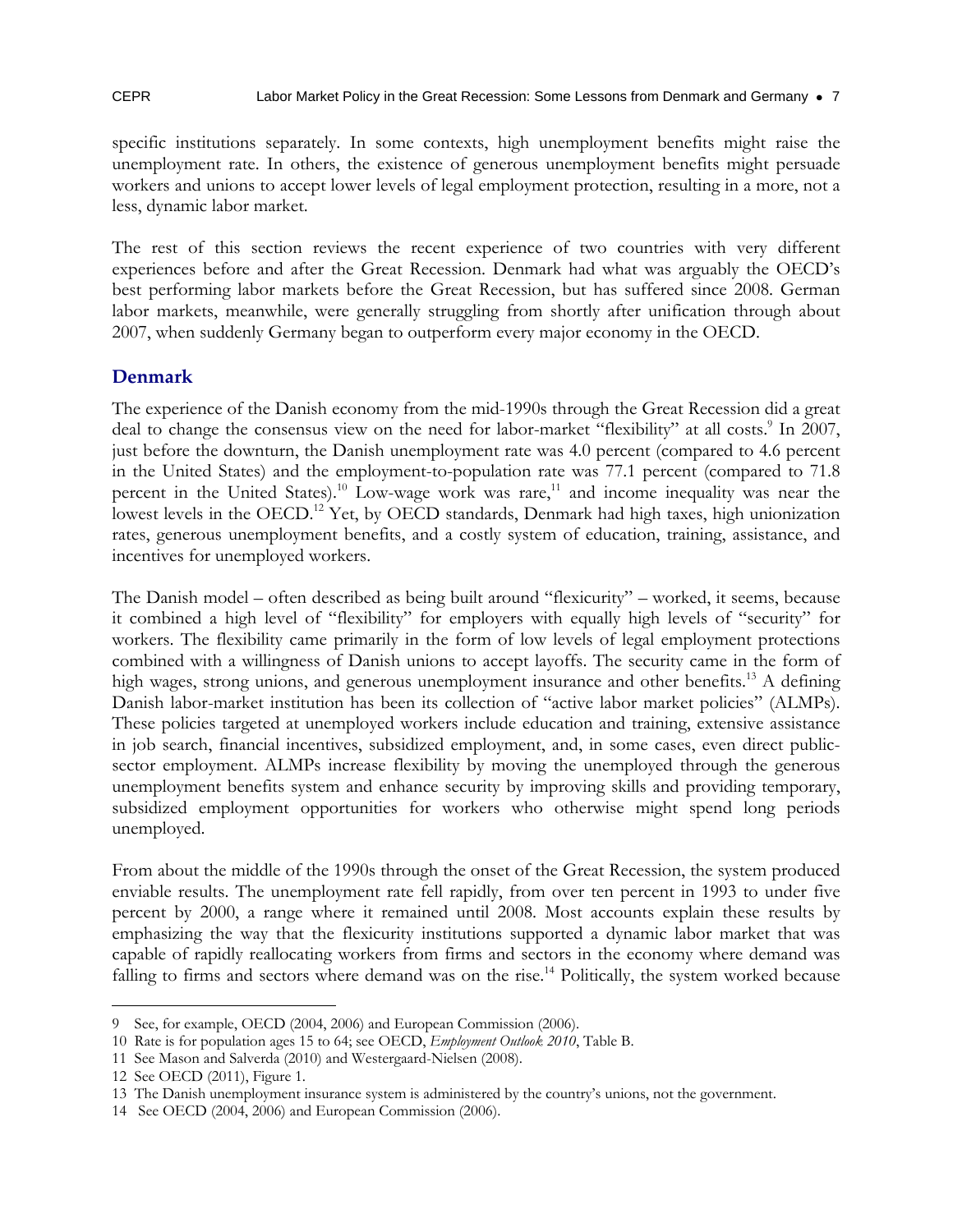specific institutions separately. In some contexts, high unemployment benefits might raise the unemployment rate. In others, the existence of generous unemployment benefits might persuade workers and unions to accept lower levels of legal employment protection, resulting in a more, not a less, dynamic labor market.

The rest of this section reviews the recent experience of two countries with very different experiences before and after the Great Recession. Denmark had what was arguably the OECD's best performing labor markets before the Great Recession, but has suffered since 2008. German labor markets, meanwhile, were generally struggling from shortly after unification through about 2007, when suddenly Germany began to outperform every major economy in the OECD.

#### **Denmark**

The experience of the Danish economy from the mid-1990s through the Great Recession did a great deal to change the consensus view on the need for labor-market "flexibility" at all costs.<sup>9</sup> In 2007, just before the downturn, the Danish unemployment rate was 4.0 percent (compared to 4.6 percent in the United States) and the employment-to-population rate was 77.1 percent (compared to 71.8 percent in the United States).<sup>10</sup> Low-wage work was rare,<sup>11</sup> and income inequality was near the lowest levels in the OECD.<sup>12</sup> Yet, by OECD standards, Denmark had high taxes, high unionization rates, generous unemployment benefits, and a costly system of education, training, assistance, and incentives for unemployed workers.

The Danish model – often described as being built around "flexicurity" – worked, it seems, because it combined a high level of "flexibility" for employers with equally high levels of "security" for workers. The flexibility came primarily in the form of low levels of legal employment protections combined with a willingness of Danish unions to accept layoffs. The security came in the form of high wages, strong unions, and generous unemployment insurance and other benefits.<sup>13</sup> A defining Danish labor-market institution has been its collection of "active labor market policies" (ALMPs). These policies targeted at unemployed workers include education and training, extensive assistance in job search, financial incentives, subsidized employment, and, in some cases, even direct publicsector employment. ALMPs increase flexibility by moving the unemployed through the generous unemployment benefits system and enhance security by improving skills and providing temporary, subsidized employment opportunities for workers who otherwise might spend long periods unemployed.

From about the middle of the 1990s through the onset of the Great Recession, the system produced enviable results. The unemployment rate fell rapidly, from over ten percent in 1993 to under five percent by 2000, a range where it remained until 2008. Most accounts explain these results by emphasizing the way that the flexicurity institutions supported a dynamic labor market that was capable of rapidly reallocating workers from firms and sectors in the economy where demand was falling to firms and sectors where demand was on the rise.<sup>14</sup> Politically, the system worked because

 $\overline{a}$ 9 See, for example, OECD (2004, 2006) and European Commission (2006).

<sup>10</sup> Rate is for population ages 15 to 64; see OECD, *Employment Outlook 2010*, Table B.

<sup>11</sup> See Mason and Salverda (2010) and Westergaard-Nielsen (2008).

<sup>12</sup> See OECD (2011), Figure 1.

<sup>13</sup> The Danish unemployment insurance system is administered by the country's unions, not the government.

<sup>14</sup> See OECD (2004, 2006) and European Commission (2006).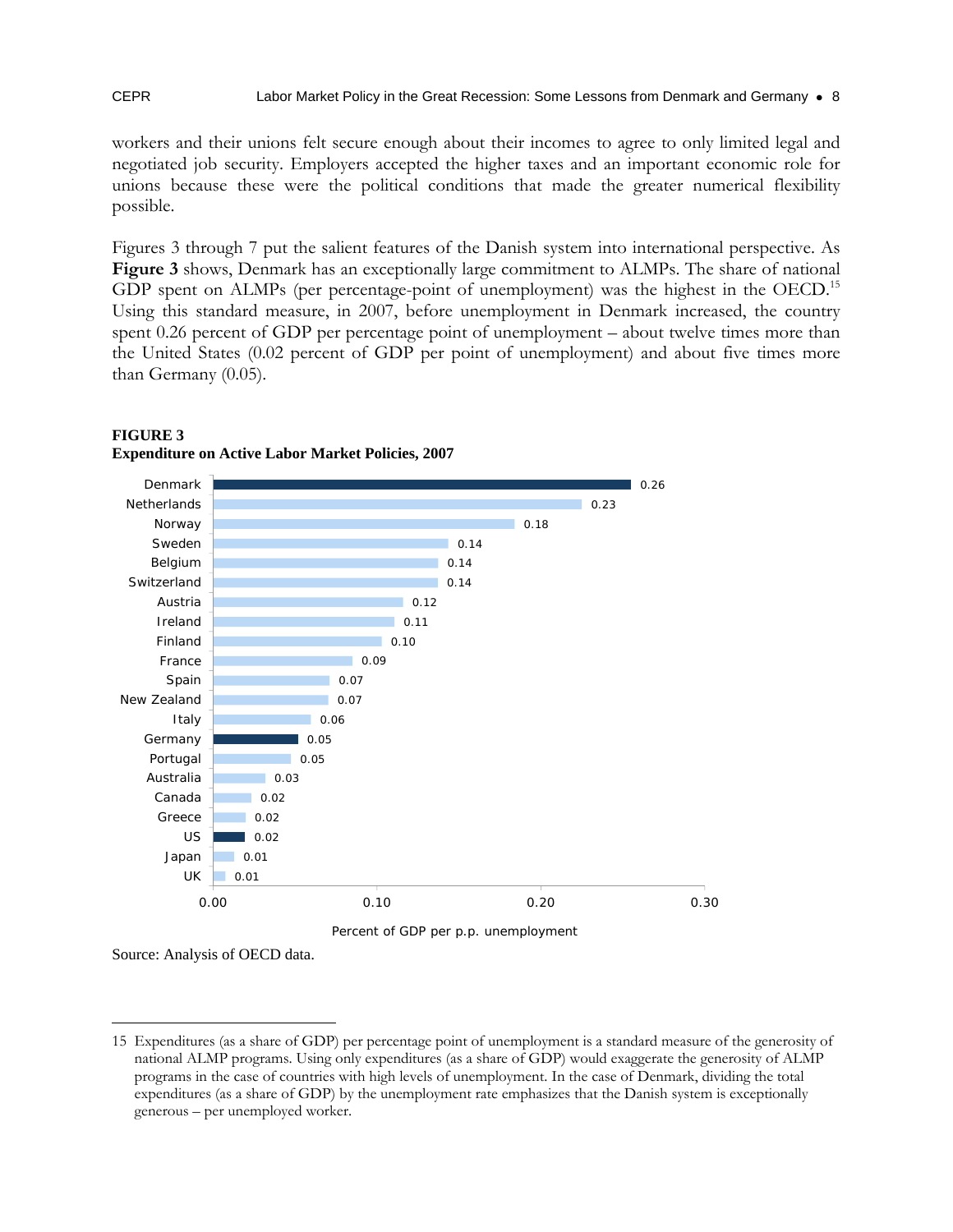workers and their unions felt secure enough about their incomes to agree to only limited legal and negotiated job security. Employers accepted the higher taxes and an important economic role for unions because these were the political conditions that made the greater numerical flexibility possible.

Figures 3 through 7 put the salient features of the Danish system into international perspective. As **Figure 3** shows, Denmark has an exceptionally large commitment to ALMPs. The share of national GDP spent on ALMPs (per percentage-point of unemployment) was the highest in the OECD.<sup>15</sup> Using this standard measure, in 2007, before unemployment in Denmark increased, the country spent 0.26 percent of GDP per percentage point of unemployment – about twelve times more than the United States (0.02 percent of GDP per point of unemployment) and about five times more than Germany (0.05).



#### **FIGURE 3 Expenditure on Active Labor Market Policies, 2007**

Source: Analysis of OECD data.

<sup>15</sup> Expenditures (as a share of GDP) per percentage point of unemployment is a standard measure of the generosity of national ALMP programs. Using only expenditures (as a share of GDP) would exaggerate the generosity of ALMP programs in the case of countries with high levels of unemployment. In the case of Denmark, dividing the total expenditures (as a share of GDP) by the unemployment rate emphasizes that the Danish system is exceptionally generous – per unemployed worker.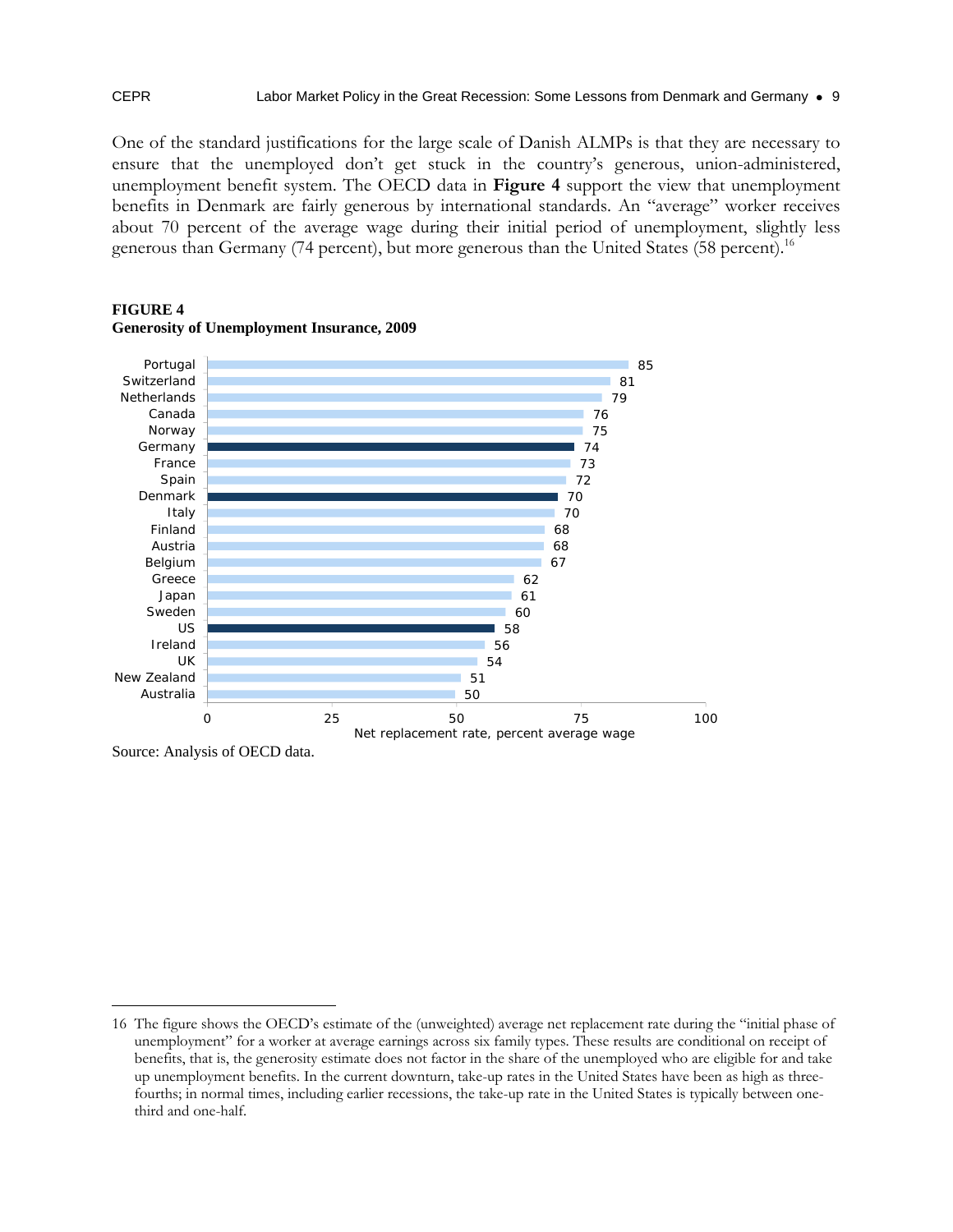One of the standard justifications for the large scale of Danish ALMPs is that they are necessary to ensure that the unemployed don't get stuck in the country's generous, union-administered, unemployment benefit system. The OECD data in **Figure 4** support the view that unemployment benefits in Denmark are fairly generous by international standards. An "average" worker receives about 70 percent of the average wage during their initial period of unemployment, slightly less generous than Germany (74 percent), but more generous than the United States (58 percent).<sup>16</sup>



#### **FIGURE 4 Generosity of Unemployment Insurance, 2009**

Source: Analysis of OECD data.

<sup>16</sup> The figure shows the OECD's estimate of the (unweighted) average net replacement rate during the "initial phase of unemployment" for a worker at average earnings across six family types. These results are conditional on receipt of benefits, that is, the generosity estimate does not factor in the share of the unemployed who are eligible for and take up unemployment benefits. In the current downturn, take-up rates in the United States have been as high as threefourths; in normal times, including earlier recessions, the take-up rate in the United States is typically between onethird and one-half.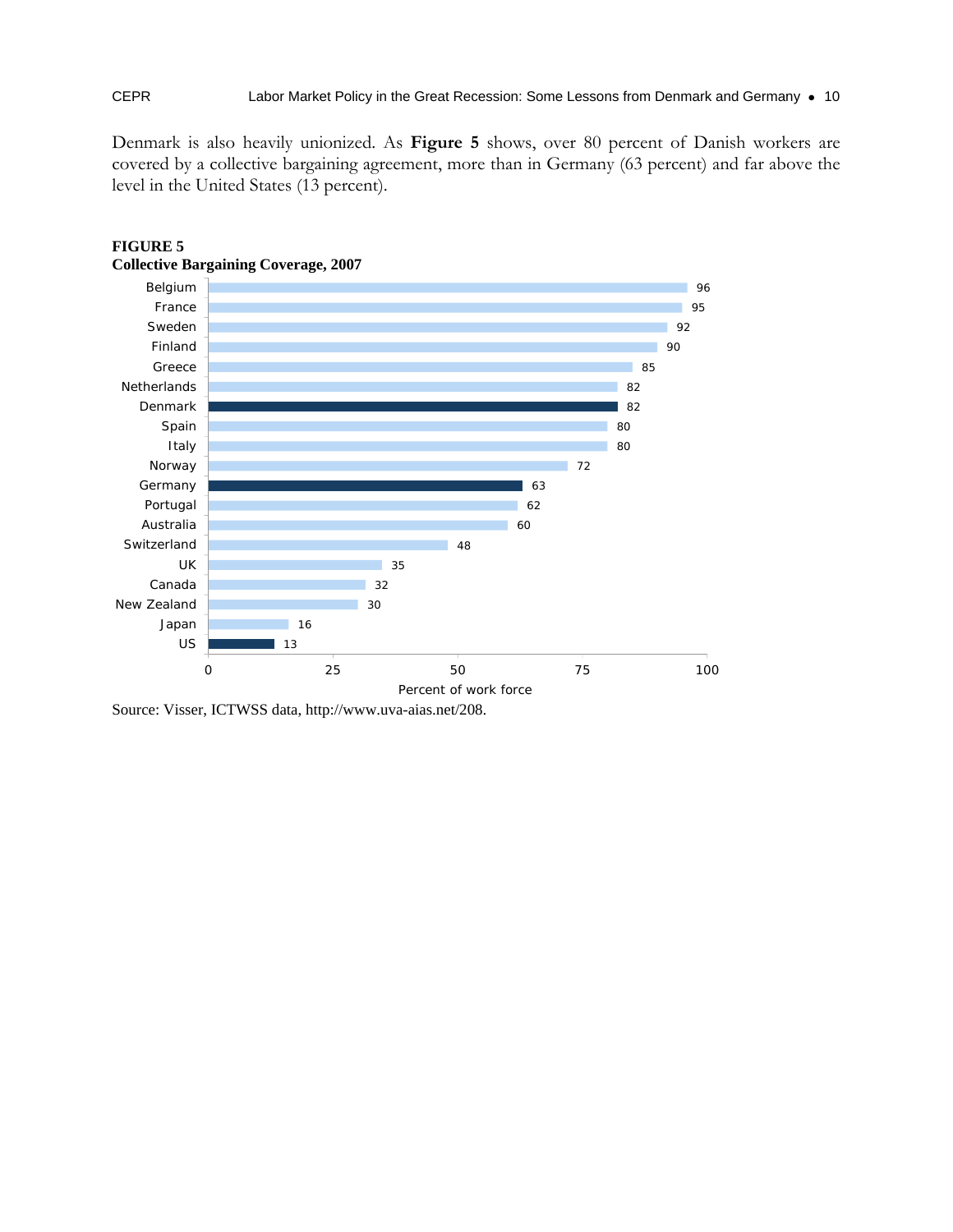Denmark is also heavily unionized. As **Figure 5** shows, over 80 percent of Danish workers are covered by a collective bargaining agreement, more than in Germany (63 percent) and far above the level in the United States (13 percent).



#### **FIGURE 5 Collective Bargaining Coverage, 2007**

Source: Visser, ICTWSS data, http://www.uva-aias.net/208.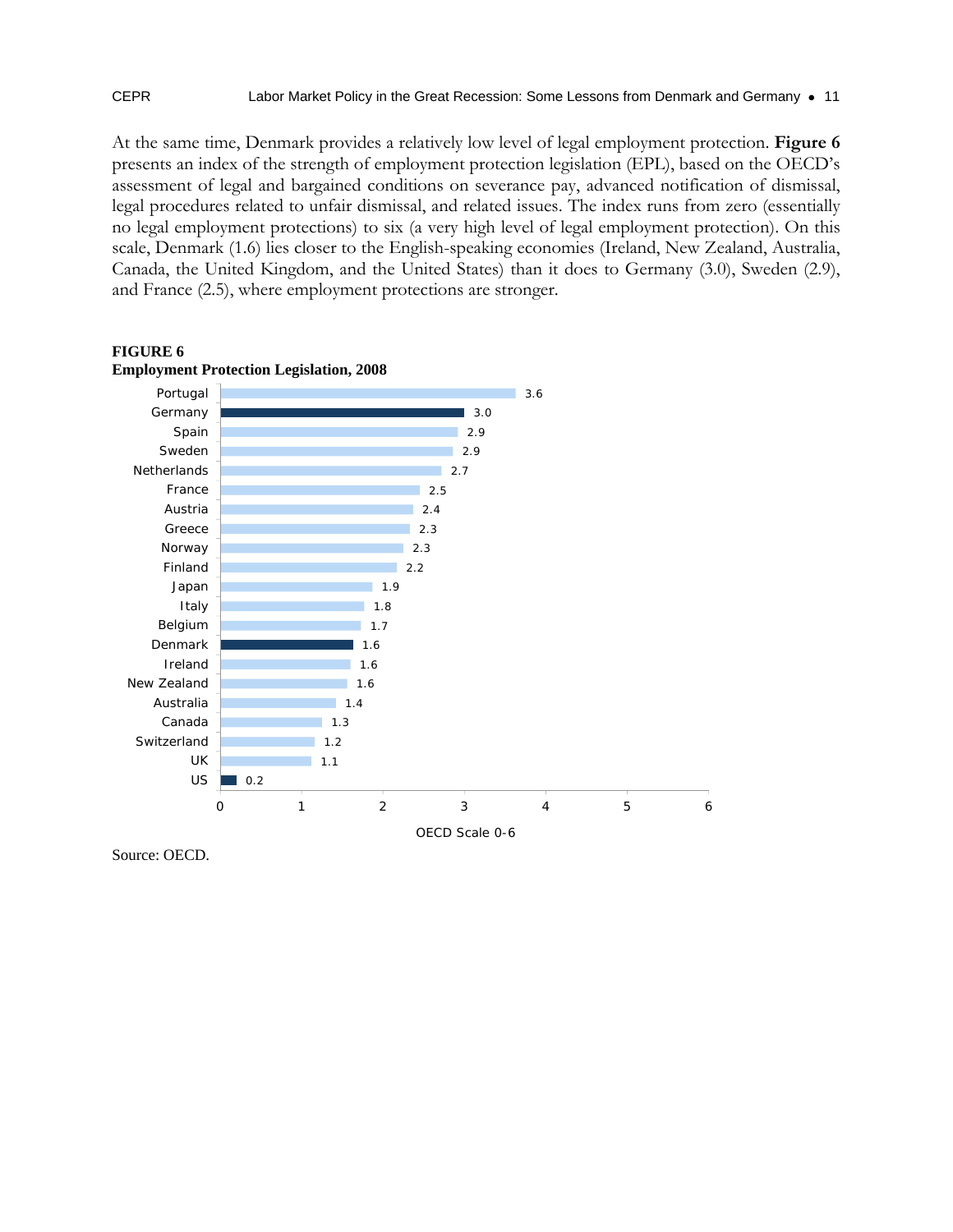At the same time, Denmark provides a relatively low level of legal employment protection. **Figure 6** presents an index of the strength of employment protection legislation (EPL), based on the OECD's assessment of legal and bargained conditions on severance pay, advanced notification of dismissal, legal procedures related to unfair dismissal, and related issues. The index runs from zero (essentially no legal employment protections) to six (a very high level of legal employment protection). On this scale, Denmark (1.6) lies closer to the English-speaking economies (Ireland, New Zealand, Australia, Canada, the United Kingdom, and the United States) than it does to Germany (3.0), Sweden (2.9), and France (2.5), where employment protections are stronger.



#### **FIGURE 6 Employment Protection Legislation, 2008**

Source: OECD.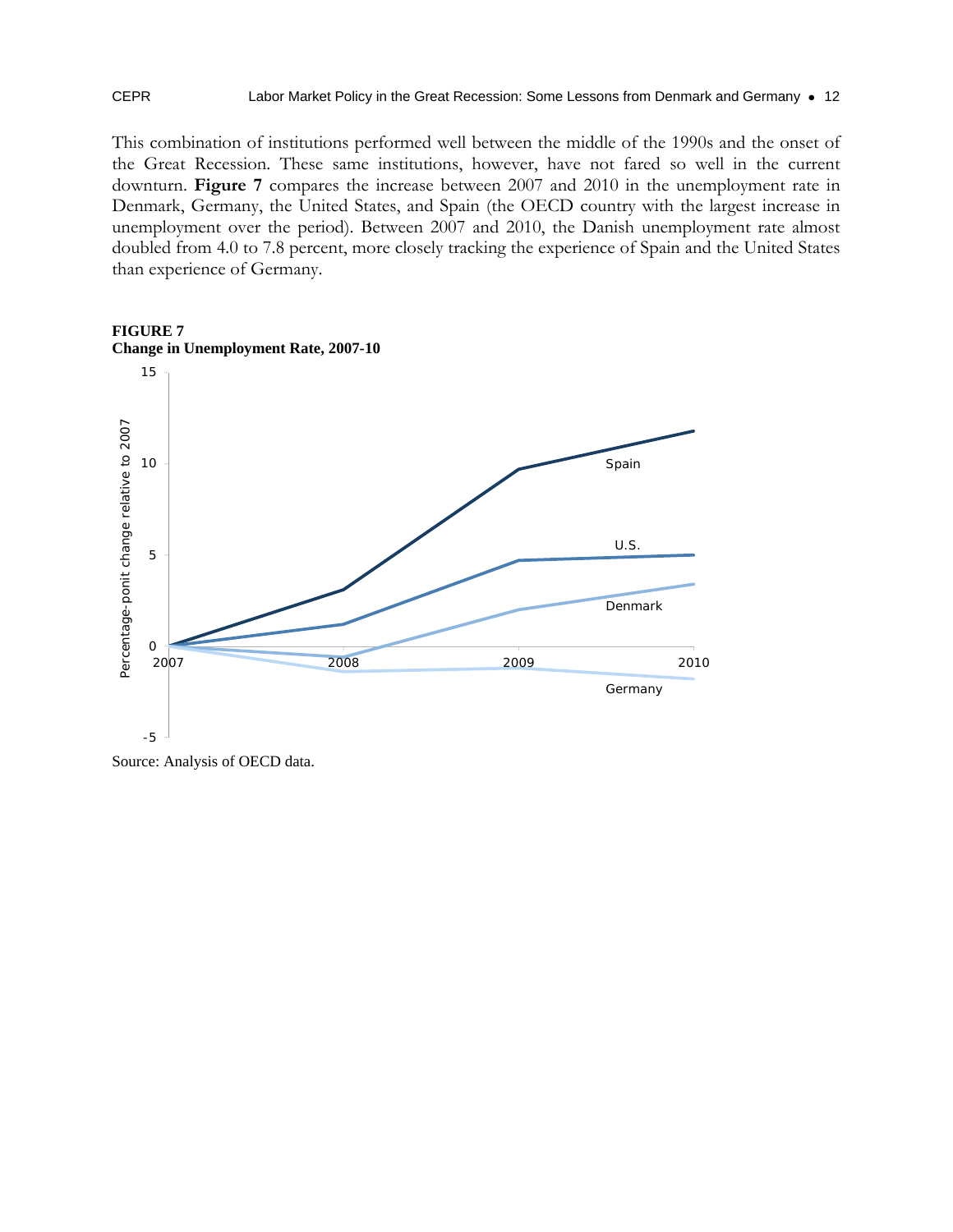#### CEPR Labor Market Policy in the Great Recession: Some Lessons from Denmark and Germany • 12

This combination of institutions performed well between the middle of the 1990s and the onset of the Great Recession. These same institutions, however, have not fared so well in the current downturn. **Figure 7** compares the increase between 2007 and 2010 in the unemployment rate in Denmark, Germany, the United States, and Spain (the OECD country with the largest increase in unemployment over the period). Between 2007 and 2010, the Danish unemployment rate almost doubled from 4.0 to 7.8 percent, more closely tracking the experience of Spain and the United States than experience of Germany.



#### **FIGURE 7 Change in Unemployment Rate, 2007-10**

Source: Analysis of OECD data.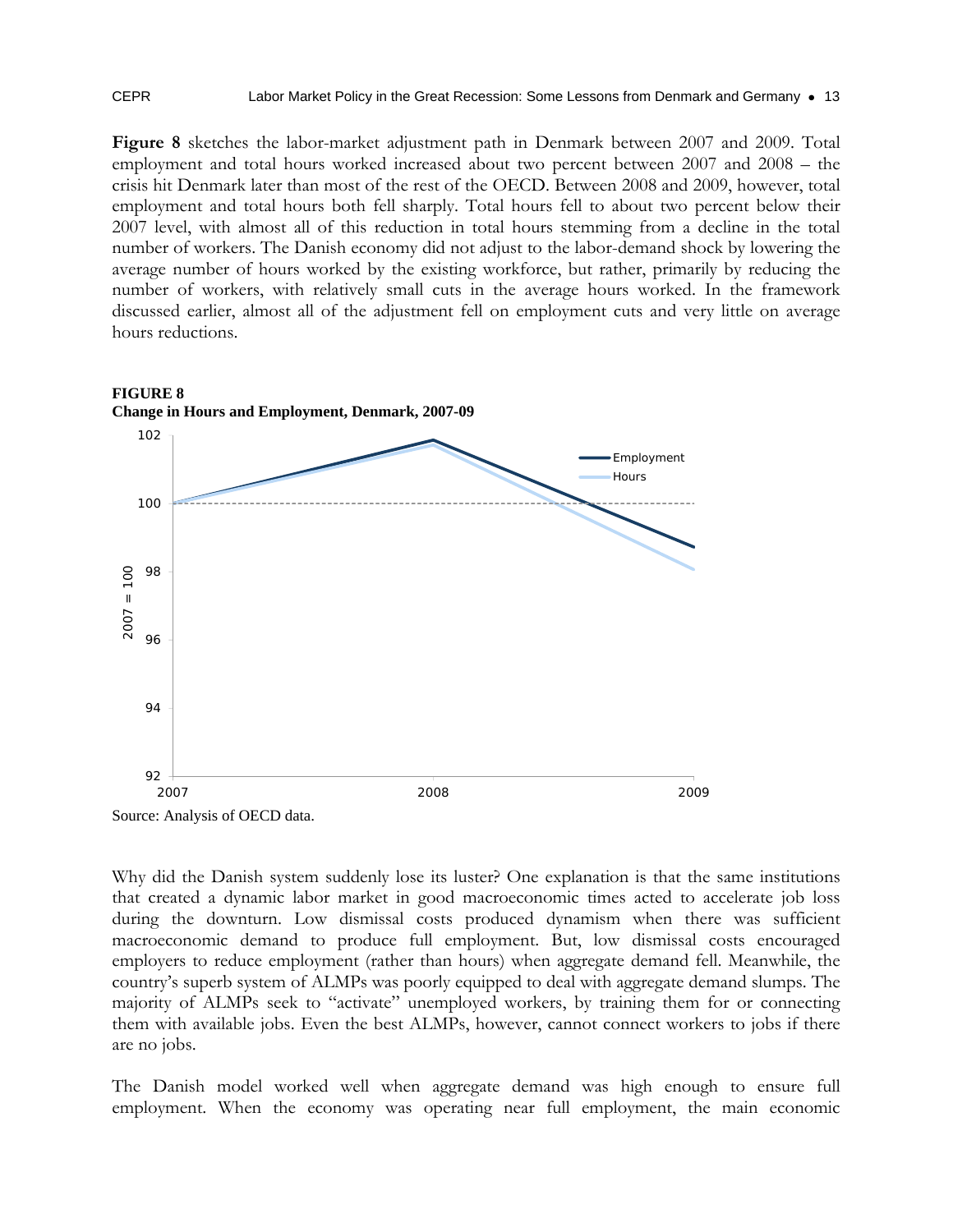**Figure 8** sketches the labor-market adjustment path in Denmark between 2007 and 2009. Total employment and total hours worked increased about two percent between 2007 and 2008 – the crisis hit Denmark later than most of the rest of the OECD. Between 2008 and 2009, however, total employment and total hours both fell sharply. Total hours fell to about two percent below their 2007 level, with almost all of this reduction in total hours stemming from a decline in the total number of workers. The Danish economy did not adjust to the labor-demand shock by lowering the average number of hours worked by the existing workforce, but rather, primarily by reducing the number of workers, with relatively small cuts in the average hours worked. In the framework discussed earlier, almost all of the adjustment fell on employment cuts and very little on average hours reductions.



Why did the Danish system suddenly lose its luster? One explanation is that the same institutions that created a dynamic labor market in good macroeconomic times acted to accelerate job loss during the downturn. Low dismissal costs produced dynamism when there was sufficient macroeconomic demand to produce full employment. But, low dismissal costs encouraged employers to reduce employment (rather than hours) when aggregate demand fell. Meanwhile, the country's superb system of ALMPs was poorly equipped to deal with aggregate demand slumps. The majority of ALMPs seek to "activate" unemployed workers, by training them for or connecting them with available jobs. Even the best ALMPs, however, cannot connect workers to jobs if there are no jobs.

The Danish model worked well when aggregate demand was high enough to ensure full employment. When the economy was operating near full employment, the main economic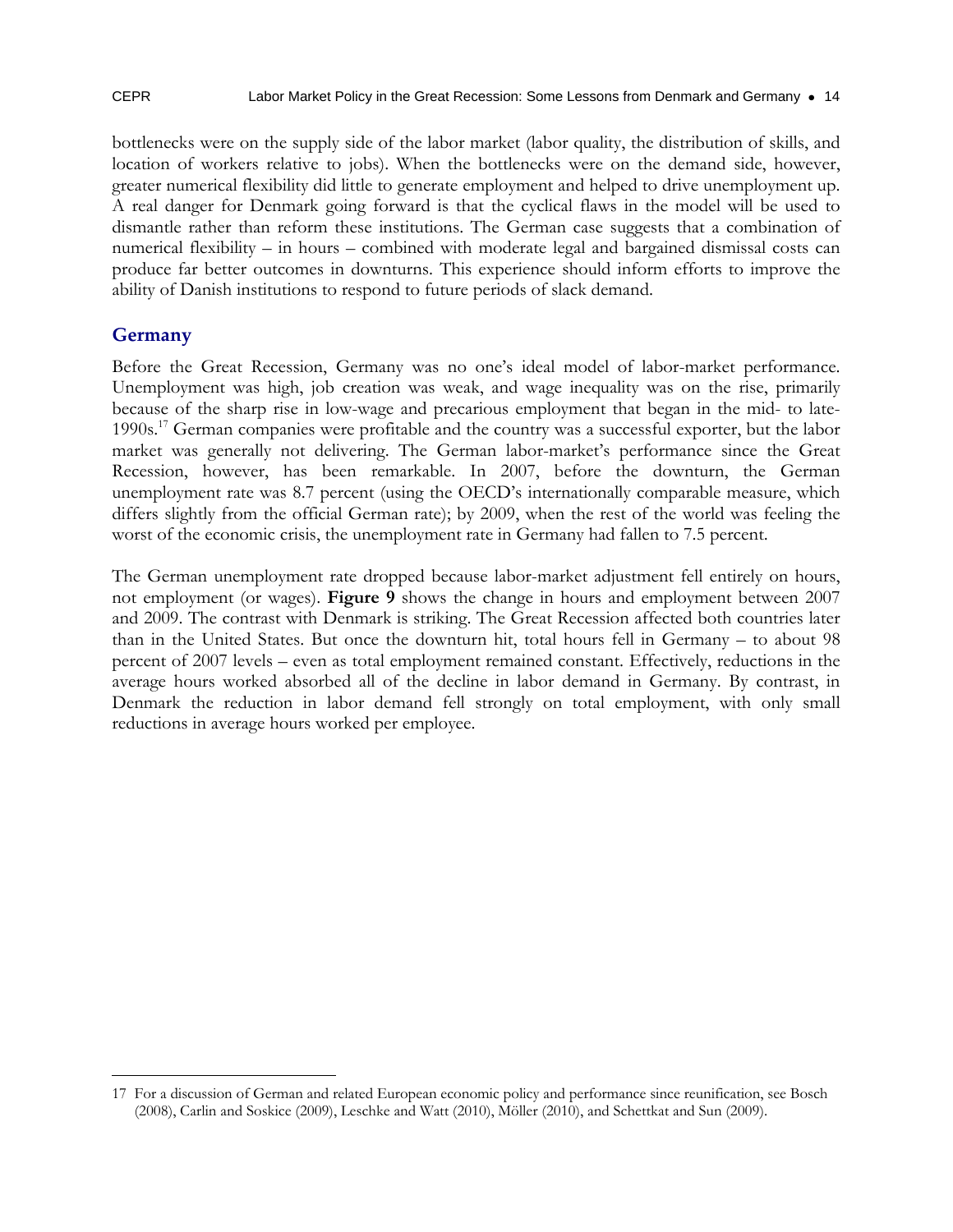bottlenecks were on the supply side of the labor market (labor quality, the distribution of skills, and location of workers relative to jobs). When the bottlenecks were on the demand side, however, greater numerical flexibility did little to generate employment and helped to drive unemployment up. A real danger for Denmark going forward is that the cyclical flaws in the model will be used to dismantle rather than reform these institutions. The German case suggests that a combination of numerical flexibility – in hours – combined with moderate legal and bargained dismissal costs can produce far better outcomes in downturns. This experience should inform efforts to improve the ability of Danish institutions to respond to future periods of slack demand.

#### **Germany**

Before the Great Recession, Germany was no one's ideal model of labor-market performance. Unemployment was high, job creation was weak, and wage inequality was on the rise, primarily because of the sharp rise in low-wage and precarious employment that began in the mid- to late-1990s.17 German companies were profitable and the country was a successful exporter, but the labor market was generally not delivering. The German labor-market's performance since the Great Recession, however, has been remarkable. In 2007, before the downturn, the German unemployment rate was 8.7 percent (using the OECD's internationally comparable measure, which differs slightly from the official German rate); by 2009, when the rest of the world was feeling the worst of the economic crisis, the unemployment rate in Germany had fallen to 7.5 percent.

The German unemployment rate dropped because labor-market adjustment fell entirely on hours, not employment (or wages). **Figure 9** shows the change in hours and employment between 2007 and 2009. The contrast with Denmark is striking. The Great Recession affected both countries later than in the United States. But once the downturn hit, total hours fell in Germany – to about 98 percent of 2007 levels – even as total employment remained constant. Effectively, reductions in the average hours worked absorbed all of the decline in labor demand in Germany. By contrast, in Denmark the reduction in labor demand fell strongly on total employment, with only small reductions in average hours worked per employee.

<sup>-</sup>17 For a discussion of German and related European economic policy and performance since reunification, see Bosch (2008), Carlin and Soskice (2009), Leschke and Watt (2010), Möller (2010), and Schettkat and Sun (2009).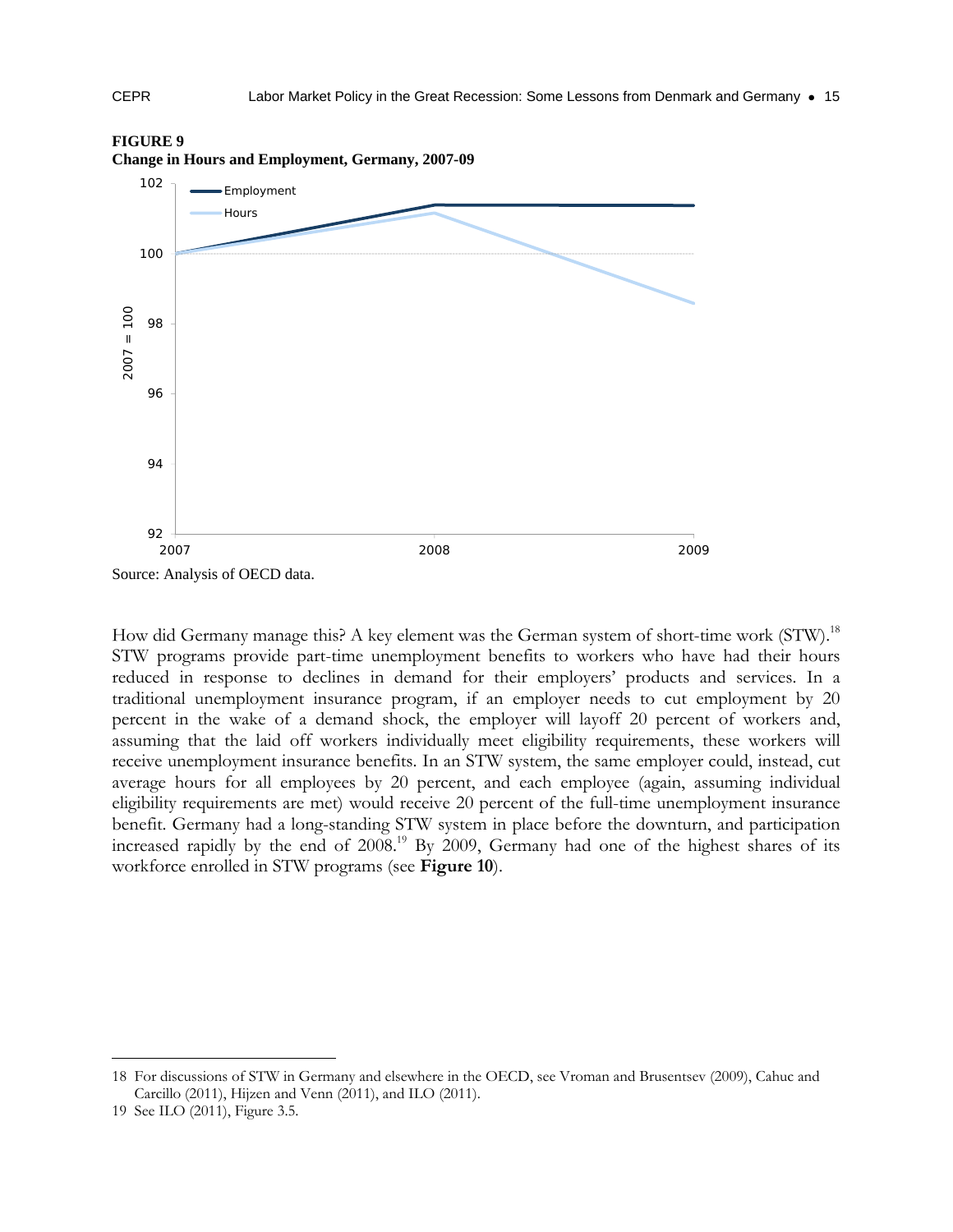

#### **FIGURE 9**

How did Germany manage this? A key element was the German system of short-time work (STW).<sup>18</sup> STW programs provide part-time unemployment benefits to workers who have had their hours reduced in response to declines in demand for their employers' products and services. In a traditional unemployment insurance program, if an employer needs to cut employment by 20 percent in the wake of a demand shock, the employer will layoff 20 percent of workers and, assuming that the laid off workers individually meet eligibility requirements, these workers will receive unemployment insurance benefits. In an STW system, the same employer could, instead, cut average hours for all employees by 20 percent, and each employee (again, assuming individual eligibility requirements are met) would receive 20 percent of the full-time unemployment insurance benefit. Germany had a long-standing STW system in place before the downturn, and participation increased rapidly by the end of  $2008<sup>19</sup>$  By 2009, Germany had one of the highest shares of its workforce enrolled in STW programs (see **Figure 10**).

<sup>18</sup> For discussions of STW in Germany and elsewhere in the OECD, see Vroman and Brusentsev (2009), Cahuc and Carcillo (2011), Hijzen and Venn (2011), and ILO (2011).

<sup>19</sup> See ILO (2011), Figure 3.5.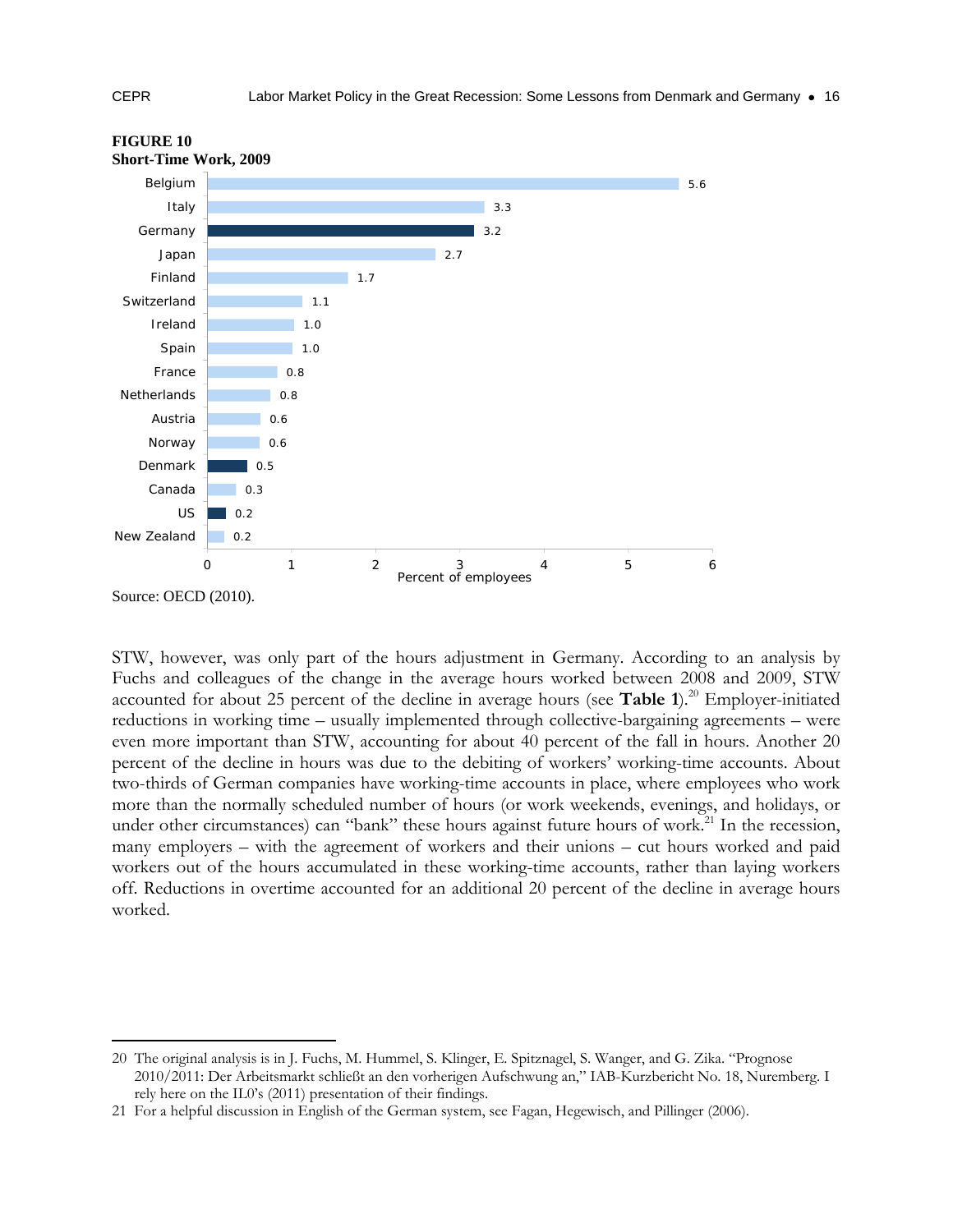

#### **FIGURE 10 Short-Time Work, 2009**

STW, however, was only part of the hours adjustment in Germany. According to an analysis by Fuchs and colleagues of the change in the average hours worked between 2008 and 2009, STW accounted for about 25 percent of the decline in average hours (see **Table 1**).<sup>20</sup> Employer-initiated reductions in working time – usually implemented through collective-bargaining agreements – were even more important than STW, accounting for about 40 percent of the fall in hours. Another 20 percent of the decline in hours was due to the debiting of workers' working-time accounts. About two-thirds of German companies have working-time accounts in place, where employees who work more than the normally scheduled number of hours (or work weekends, evenings, and holidays, or under other circumstances) can "bank" these hours against future hours of work.<sup>21</sup> In the recession, many employers – with the agreement of workers and their unions – cut hours worked and paid workers out of the hours accumulated in these working-time accounts, rather than laying workers off. Reductions in overtime accounted for an additional 20 percent of the decline in average hours worked.

<sup>-</sup>20 The original analysis is in J. Fuchs, M. Hummel, S. Klinger, E. Spitznagel, S. Wanger, and G. Zika. "Prognose 2010/2011: Der Arbeitsmarkt schließt an den vorherigen Aufschwung an," IAB-Kurzbericht No. 18, Nuremberg. I rely here on the IL0's (2011) presentation of their findings.

<sup>21</sup> For a helpful discussion in English of the German system, see Fagan, Hegewisch, and Pillinger (2006).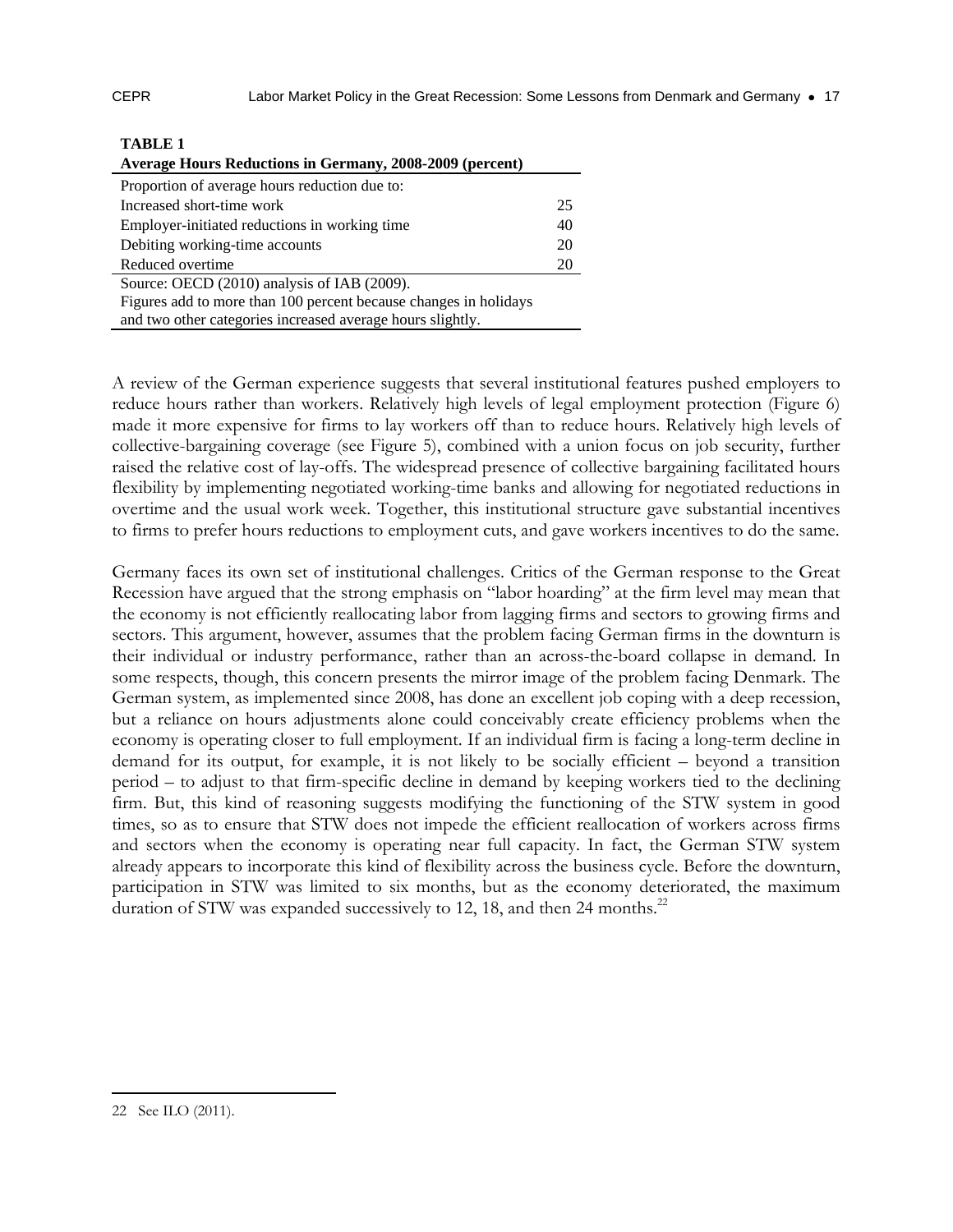| <b>Average Hours Reductions in Germany, 2008-2009 (percent)</b>  |    |
|------------------------------------------------------------------|----|
| Proportion of average hours reduction due to:                    |    |
| Increased short-time work                                        | 25 |
| Employer-initiated reductions in working time                    | 40 |
| Debiting working-time accounts                                   | 20 |
| Reduced overtime                                                 | 20 |
| Source: OECD (2010) analysis of IAB (2009).                      |    |
| Figures add to more than 100 percent because changes in holidays |    |
| and two other categories increased average hours slightly.       |    |

**TABLE 1**

A review of the German experience suggests that several institutional features pushed employers to reduce hours rather than workers. Relatively high levels of legal employment protection (Figure 6) made it more expensive for firms to lay workers off than to reduce hours. Relatively high levels of collective-bargaining coverage (see Figure 5), combined with a union focus on job security, further raised the relative cost of lay-offs. The widespread presence of collective bargaining facilitated hours flexibility by implementing negotiated working-time banks and allowing for negotiated reductions in overtime and the usual work week. Together, this institutional structure gave substantial incentives to firms to prefer hours reductions to employment cuts, and gave workers incentives to do the same.

Germany faces its own set of institutional challenges. Critics of the German response to the Great Recession have argued that the strong emphasis on "labor hoarding" at the firm level may mean that the economy is not efficiently reallocating labor from lagging firms and sectors to growing firms and sectors. This argument, however, assumes that the problem facing German firms in the downturn is their individual or industry performance, rather than an across-the-board collapse in demand. In some respects, though, this concern presents the mirror image of the problem facing Denmark. The German system, as implemented since 2008, has done an excellent job coping with a deep recession, but a reliance on hours adjustments alone could conceivably create efficiency problems when the economy is operating closer to full employment. If an individual firm is facing a long-term decline in demand for its output, for example, it is not likely to be socially efficient – beyond a transition period – to adjust to that firm-specific decline in demand by keeping workers tied to the declining firm. But, this kind of reasoning suggests modifying the functioning of the STW system in good times, so as to ensure that STW does not impede the efficient reallocation of workers across firms and sectors when the economy is operating near full capacity. In fact, the German STW system already appears to incorporate this kind of flexibility across the business cycle. Before the downturn, participation in STW was limited to six months, but as the economy deteriorated, the maximum duration of STW was expanded successively to 12, 18, and then 24 months.<sup>22</sup>

<sup>22</sup> See ILO (2011).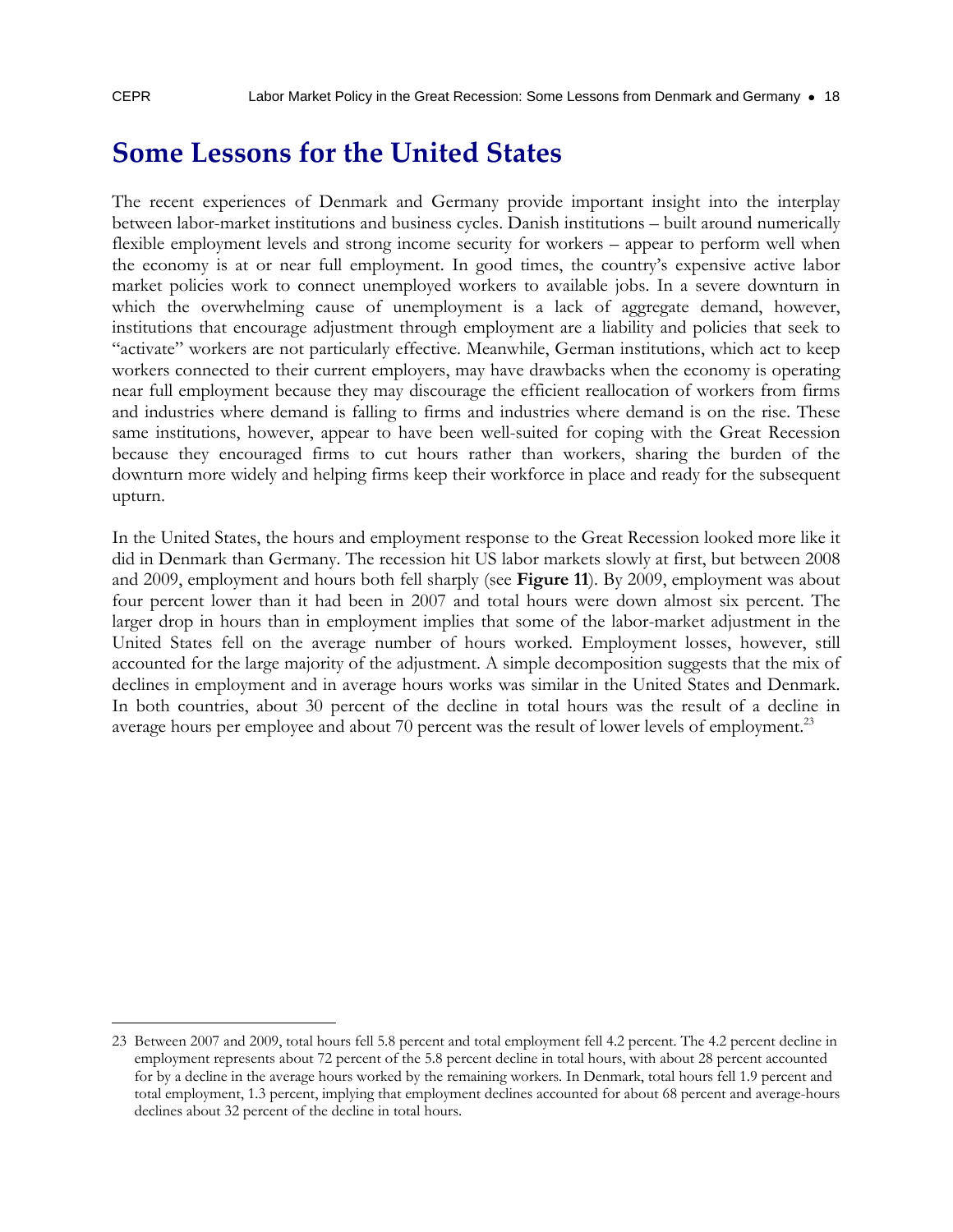-

### **Some Lessons for the United States**

The recent experiences of Denmark and Germany provide important insight into the interplay between labor-market institutions and business cycles. Danish institutions – built around numerically flexible employment levels and strong income security for workers – appear to perform well when the economy is at or near full employment. In good times, the country's expensive active labor market policies work to connect unemployed workers to available jobs. In a severe downturn in which the overwhelming cause of unemployment is a lack of aggregate demand, however, institutions that encourage adjustment through employment are a liability and policies that seek to "activate" workers are not particularly effective. Meanwhile, German institutions, which act to keep workers connected to their current employers, may have drawbacks when the economy is operating near full employment because they may discourage the efficient reallocation of workers from firms and industries where demand is falling to firms and industries where demand is on the rise. These same institutions, however, appear to have been well-suited for coping with the Great Recession because they encouraged firms to cut hours rather than workers, sharing the burden of the downturn more widely and helping firms keep their workforce in place and ready for the subsequent upturn.

In the United States, the hours and employment response to the Great Recession looked more like it did in Denmark than Germany. The recession hit US labor markets slowly at first, but between 2008 and 2009, employment and hours both fell sharply (see **Figure 11**). By 2009, employment was about four percent lower than it had been in 2007 and total hours were down almost six percent. The larger drop in hours than in employment implies that some of the labor-market adjustment in the United States fell on the average number of hours worked. Employment losses, however, still accounted for the large majority of the adjustment. A simple decomposition suggests that the mix of declines in employment and in average hours works was similar in the United States and Denmark. In both countries, about 30 percent of the decline in total hours was the result of a decline in average hours per employee and about 70 percent was the result of lower levels of employment.<sup>23</sup>

<sup>23</sup> Between 2007 and 2009, total hours fell 5.8 percent and total employment fell 4.2 percent. The 4.2 percent decline in employment represents about 72 percent of the 5.8 percent decline in total hours, with about 28 percent accounted for by a decline in the average hours worked by the remaining workers. In Denmark, total hours fell 1.9 percent and total employment, 1.3 percent, implying that employment declines accounted for about 68 percent and average-hours declines about 32 percent of the decline in total hours.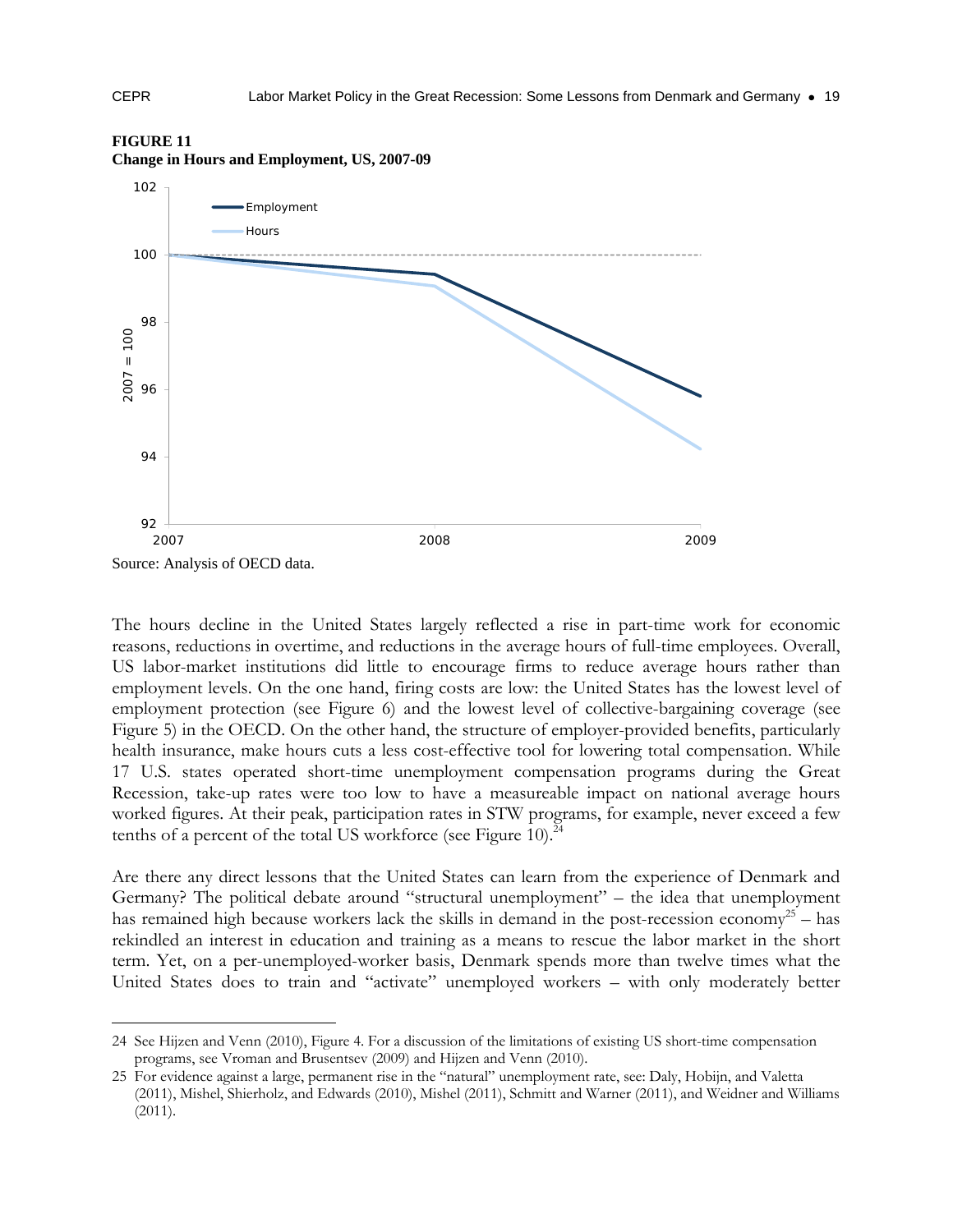

#### **FIGURE 11**

**Change in Hours and Employment, US, 2007-09** 

The hours decline in the United States largely reflected a rise in part-time work for economic reasons, reductions in overtime, and reductions in the average hours of full-time employees. Overall, US labor-market institutions did little to encourage firms to reduce average hours rather than employment levels. On the one hand, firing costs are low: the United States has the lowest level of employment protection (see Figure 6) and the lowest level of collective-bargaining coverage (see Figure 5) in the OECD. On the other hand, the structure of employer-provided benefits, particularly health insurance, make hours cuts a less cost-effective tool for lowering total compensation. While 17 U.S. states operated short-time unemployment compensation programs during the Great Recession, take-up rates were too low to have a measureable impact on national average hours worked figures. At their peak, participation rates in STW programs, for example, never exceed a few tenths of a percent of the total US workforce (see Figure 10).<sup>24</sup>

Are there any direct lessons that the United States can learn from the experience of Denmark and Germany? The political debate around "structural unemployment" – the idea that unemployment has remained high because workers lack the skills in demand in the post-recession economy<sup>25</sup> – has rekindled an interest in education and training as a means to rescue the labor market in the short term. Yet, on a per-unemployed-worker basis, Denmark spends more than twelve times what the United States does to train and "activate" unemployed workers – with only moderately better

-

<sup>24</sup> See Hijzen and Venn (2010), Figure 4. For a discussion of the limitations of existing US short-time compensation programs, see Vroman and Brusentsev (2009) and Hijzen and Venn (2010).

<sup>25</sup> For evidence against a large, permanent rise in the "natural" unemployment rate, see: Daly, Hobijn, and Valetta (2011), Mishel, Shierholz, and Edwards (2010), Mishel (2011), Schmitt and Warner (2011), and Weidner and Williams (2011).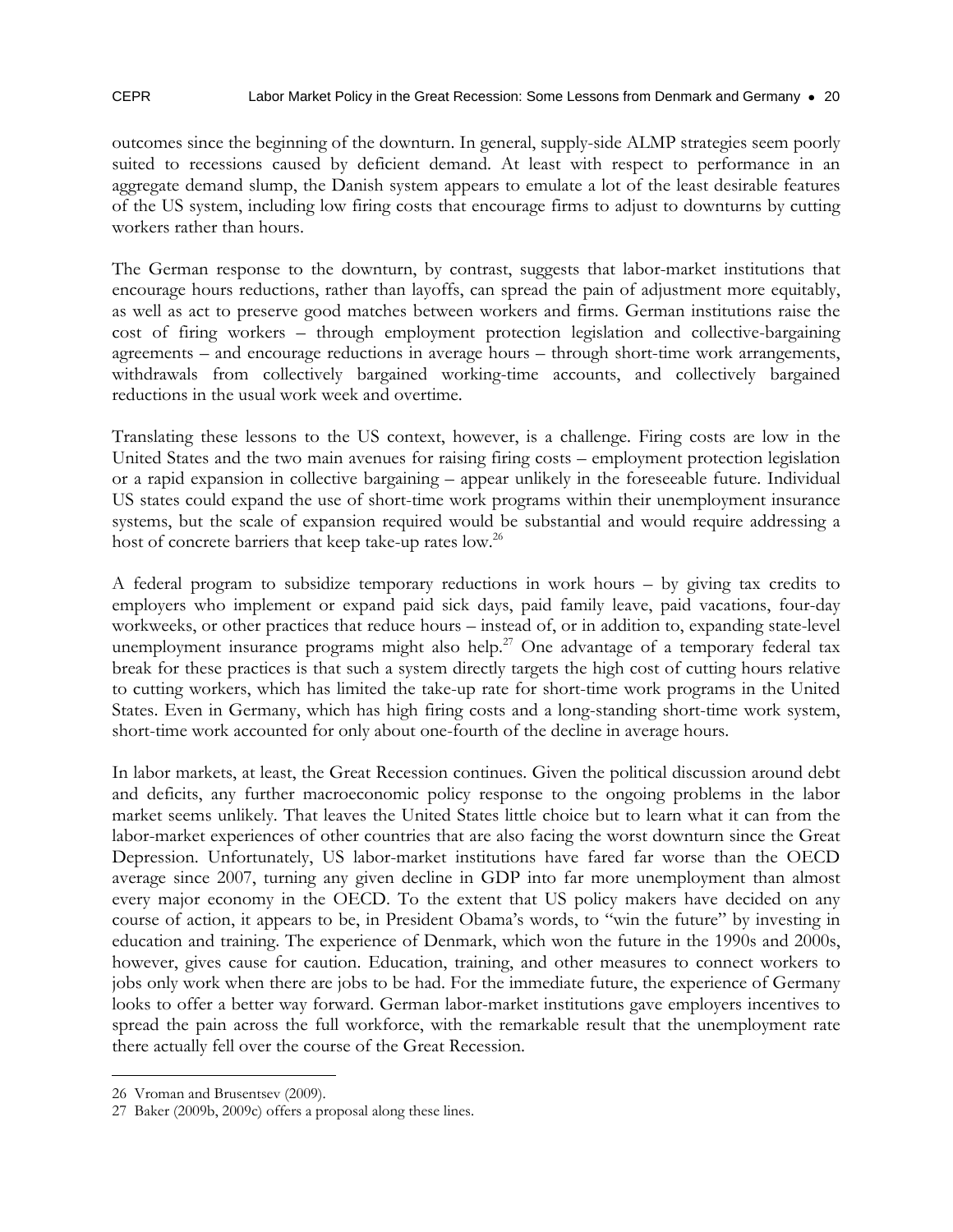outcomes since the beginning of the downturn. In general, supply-side ALMP strategies seem poorly suited to recessions caused by deficient demand. At least with respect to performance in an aggregate demand slump, the Danish system appears to emulate a lot of the least desirable features of the US system, including low firing costs that encourage firms to adjust to downturns by cutting workers rather than hours.

The German response to the downturn, by contrast, suggests that labor-market institutions that encourage hours reductions, rather than layoffs, can spread the pain of adjustment more equitably, as well as act to preserve good matches between workers and firms. German institutions raise the cost of firing workers – through employment protection legislation and collective-bargaining agreements – and encourage reductions in average hours – through short-time work arrangements, withdrawals from collectively bargained working-time accounts, and collectively bargained reductions in the usual work week and overtime.

Translating these lessons to the US context, however, is a challenge. Firing costs are low in the United States and the two main avenues for raising firing costs – employment protection legislation or a rapid expansion in collective bargaining – appear unlikely in the foreseeable future. Individual US states could expand the use of short-time work programs within their unemployment insurance systems, but the scale of expansion required would be substantial and would require addressing a host of concrete barriers that keep take-up rates low.<sup>26</sup>

A federal program to subsidize temporary reductions in work hours – by giving tax credits to employers who implement or expand paid sick days, paid family leave, paid vacations, four-day workweeks, or other practices that reduce hours – instead of, or in addition to, expanding state-level unemployment insurance programs might also help.<sup>27</sup> One advantage of a temporary federal tax break for these practices is that such a system directly targets the high cost of cutting hours relative to cutting workers, which has limited the take-up rate for short-time work programs in the United States. Even in Germany, which has high firing costs and a long-standing short-time work system, short-time work accounted for only about one-fourth of the decline in average hours.

In labor markets, at least, the Great Recession continues. Given the political discussion around debt and deficits, any further macroeconomic policy response to the ongoing problems in the labor market seems unlikely. That leaves the United States little choice but to learn what it can from the labor-market experiences of other countries that are also facing the worst downturn since the Great Depression. Unfortunately, US labor-market institutions have fared far worse than the OECD average since 2007, turning any given decline in GDP into far more unemployment than almost every major economy in the OECD. To the extent that US policy makers have decided on any course of action, it appears to be, in President Obama's words, to "win the future" by investing in education and training. The experience of Denmark, which won the future in the 1990s and 2000s, however, gives cause for caution. Education, training, and other measures to connect workers to jobs only work when there are jobs to be had. For the immediate future, the experience of Germany looks to offer a better way forward. German labor-market institutions gave employers incentives to spread the pain across the full workforce, with the remarkable result that the unemployment rate there actually fell over the course of the Great Recession.

-

<sup>26</sup> Vroman and Brusentsev (2009).

<sup>27</sup> Baker (2009b, 2009c) offers a proposal along these lines.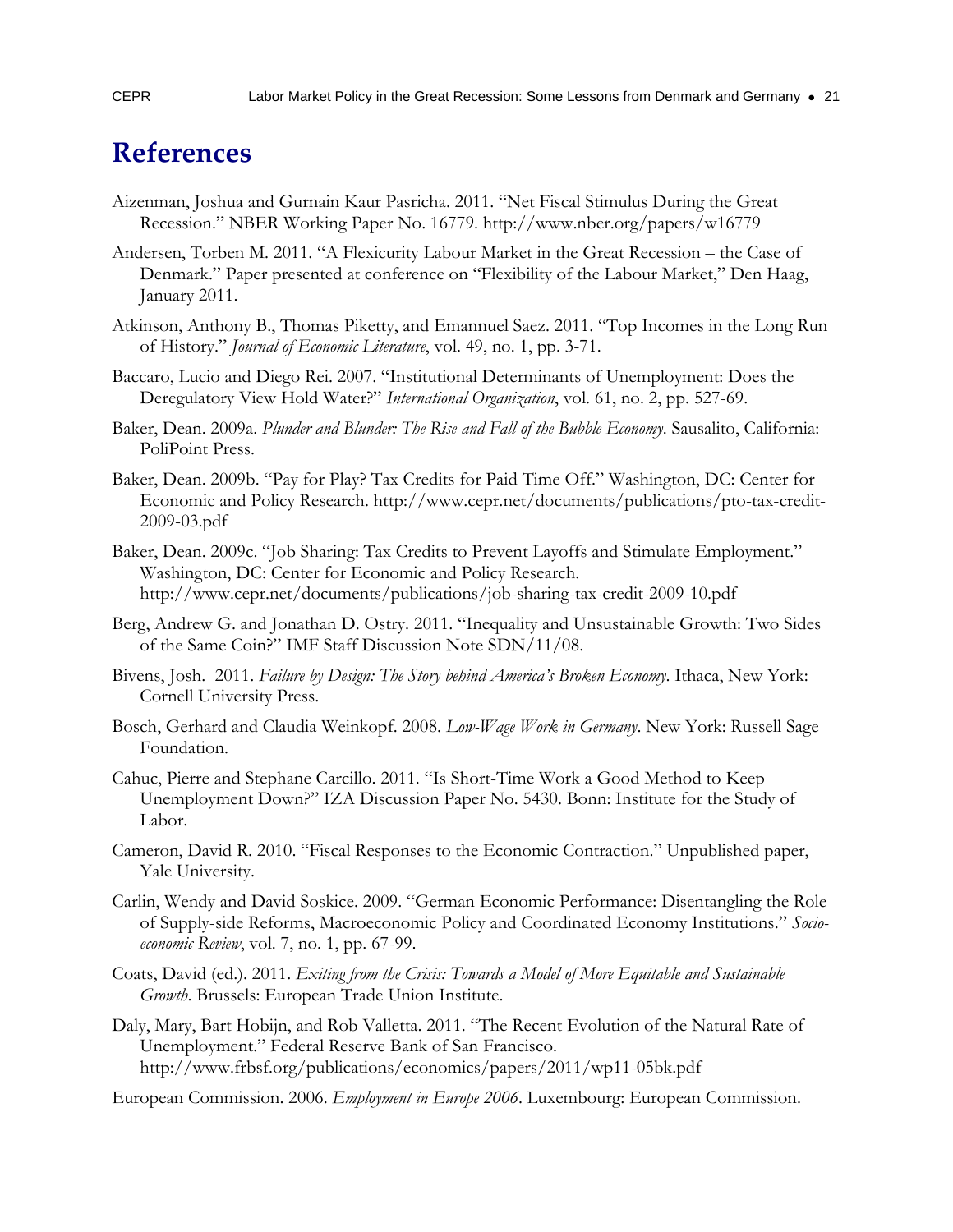### **References**

- Aizenman, Joshua and Gurnain Kaur Pasricha. 2011. "Net Fiscal Stimulus During the Great Recession." NBER Working Paper No. 16779. http://www.nber.org/papers/w16779
- Andersen, Torben M. 2011. "A Flexicurity Labour Market in the Great Recession the Case of Denmark." Paper presented at conference on "Flexibility of the Labour Market," Den Haag, January 2011.
- Atkinson, Anthony B., Thomas Piketty, and Emannuel Saez. 2011. "Top Incomes in the Long Run of History." *Journal of Economic Literature*, vol. 49, no. 1, pp. 3-71.
- Baccaro, Lucio and Diego Rei. 2007. "Institutional Determinants of Unemployment: Does the Deregulatory View Hold Water?" *International Organization*, vol. 61, no. 2, pp. 527-69.
- Baker, Dean. 2009a. *Plunder and Blunder: The Rise and Fall of the Bubble Economy*. Sausalito, California: PoliPoint Press.
- Baker, Dean. 2009b. "Pay for Play? Tax Credits for Paid Time Off." Washington, DC: Center for Economic and Policy Research. http://www.cepr.net/documents/publications/pto-tax-credit-2009-03.pdf
- Baker, Dean. 2009c. "Job Sharing: Tax Credits to Prevent Layoffs and Stimulate Employment." Washington, DC: Center for Economic and Policy Research. http://www.cepr.net/documents/publications/job-sharing-tax-credit-2009-10.pdf
- Berg, Andrew G. and Jonathan D. Ostry. 2011. "Inequality and Unsustainable Growth: Two Sides of the Same Coin?" IMF Staff Discussion Note SDN/11/08.
- Bivens, Josh. 2011. *Failure by Design: The Story behind America's Broken Economy*. Ithaca, New York: Cornell University Press.
- Bosch, Gerhard and Claudia Weinkopf. 2008. *Low-Wage Work in Germany*. New York: Russell Sage Foundation.
- Cahuc, Pierre and Stephane Carcillo. 2011. "Is Short-Time Work a Good Method to Keep Unemployment Down?" IZA Discussion Paper No. 5430. Bonn: Institute for the Study of Labor.
- Cameron, David R. 2010. "Fiscal Responses to the Economic Contraction." Unpublished paper, Yale University.
- Carlin, Wendy and David Soskice. 2009. "German Economic Performance: Disentangling the Role of Supply-side Reforms, Macroeconomic Policy and Coordinated Economy Institutions." *Socioeconomic Review*, vol. 7, no. 1, pp. 67-99.
- Coats, David (ed.). 2011. *Exiting from the Crisis: Towards a Model of More Equitable and Sustainable Growth*. Brussels: European Trade Union Institute.
- Daly, Mary, Bart Hobijn, and Rob Valletta. 2011. "The Recent Evolution of the Natural Rate of Unemployment." Federal Reserve Bank of San Francisco. http://www.frbsf.org/publications/economics/papers/2011/wp11-05bk.pdf
- European Commission. 2006. *Employment in Europe 2006*. Luxembourg: European Commission.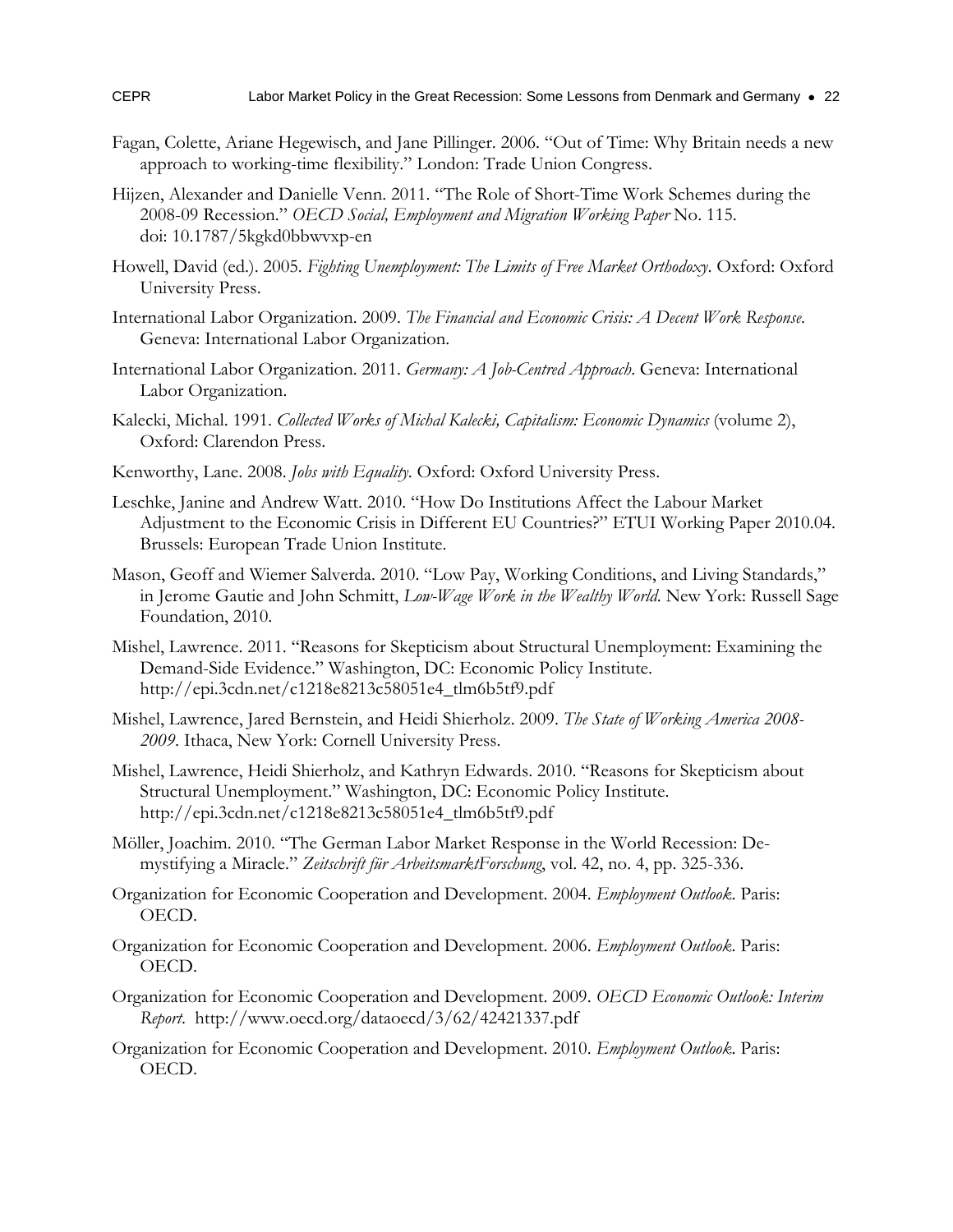- Fagan, Colette, Ariane Hegewisch, and Jane Pillinger. 2006. "Out of Time: Why Britain needs a new approach to working-time flexibility." London: Trade Union Congress.
- Hijzen, Alexander and Danielle Venn. 2011. "The Role of Short-Time Work Schemes during the 2008-09 Recession." *OECD Social, Employment and Migration Working Paper* No. 115. doi: 10.1787/5kgkd0bbwvxp-en
- Howell, David (ed.). 2005. *Fighting Unemployment: The Limits of Free Market Orthodoxy*. Oxford: Oxford University Press.
- International Labor Organization. 2009. *The Financial and Economic Crisis: A Decent Work Response*. Geneva: International Labor Organization.
- International Labor Organization. 2011. *Germany: A Job-Centred Approach*. Geneva: International Labor Organization.
- Kalecki, Michal. 1991. *Collected Works of Michal Kalecki, Capitalism: Economic Dynamics* (volume 2), Oxford: Clarendon Press.
- Kenworthy, Lane. 2008. *Jobs with Equality*. Oxford: Oxford University Press.
- Leschke, Janine and Andrew Watt. 2010. "How Do Institutions Affect the Labour Market Adjustment to the Economic Crisis in Different EU Countries?" ETUI Working Paper 2010.04. Brussels: European Trade Union Institute.
- Mason, Geoff and Wiemer Salverda. 2010. "Low Pay, Working Conditions, and Living Standards," in Jerome Gautie and John Schmitt, *Low-Wage Work in the Wealthy World*. New York: Russell Sage Foundation, 2010.
- Mishel, Lawrence. 2011. "Reasons for Skepticism about Structural Unemployment: Examining the Demand-Side Evidence." Washington, DC: Economic Policy Institute. http://epi.3cdn.net/c1218e8213c58051e4\_tlm6b5tf9.pdf
- Mishel, Lawrence, Jared Bernstein, and Heidi Shierholz. 2009. *The State of Working America 2008- 2009*. Ithaca, New York: Cornell University Press.
- Mishel, Lawrence, Heidi Shierholz, and Kathryn Edwards. 2010. "Reasons for Skepticism about Structural Unemployment." Washington, DC: Economic Policy Institute. http://epi.3cdn.net/c1218e8213c58051e4\_tlm6b5tf9.pdf
- Möller, Joachim. 2010. "The German Labor Market Response in the World Recession: Demystifying a Miracle." *Zeitschrift für ArbeitsmarktForschung*, vol. 42, no. 4, pp. 325-336.
- Organization for Economic Cooperation and Development. 2004. *Employment Outlook*. Paris: OECD.
- Organization for Economic Cooperation and Development. 2006. *Employment Outlook*. Paris: OECD.
- Organization for Economic Cooperation and Development. 2009. *OECD Economic Outlook: Interim Report*. http://www.oecd.org/dataoecd/3/62/42421337.pdf
- Organization for Economic Cooperation and Development. 2010. *Employment Outlook*. Paris: OECD.